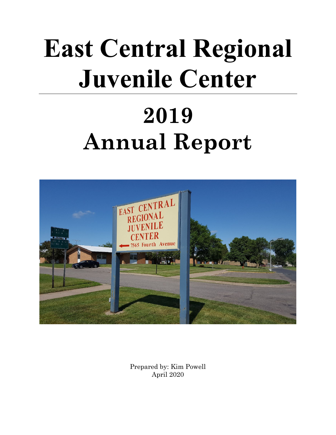# **East Central Regional Juvenile Center**

## **2019 Annual Report**



Prepared by: Kim Powell April 2020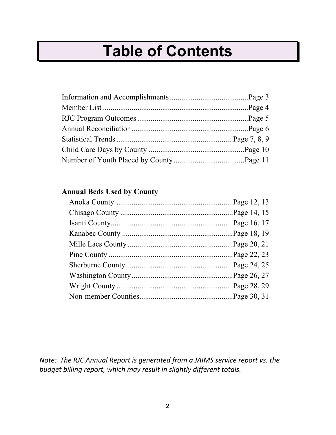## **Table of Contents**

#### **Annual Beds Used by County**

*Note: The RJC Annual Report is generated from a JAIMS service report vs. the budget billing report, which may result in slightly different totals.*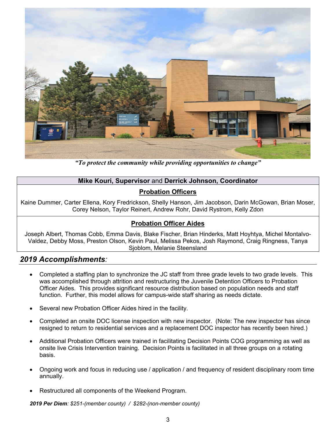

*"To protect the community while providing opportunities to change"* 

#### **Mike Kouri, Supervisor** and **Derrick Johnson, Coordinator**

#### **Probation Officers**

Kaine Dummer, Carter Ellena, Kory Fredrickson, Shelly Hanson, Jim Jacobson, Darin McGowan, Brian Moser, Corey Nelson, Taylor Reinert, Andrew Rohr, David Rystrom, Kelly Zdon

#### **Probation Officer Aides**

Joseph Albert, Thomas Cobb, Emma Davis, Blake Fischer, Brian Hinderks, Matt Hoyhtya, Michel Montalvo-Valdez, Debby Moss, Preston Olson, Kevin Paul, Melissa Pekos, Josh Raymond, Craig Ringness, Tanya Sjoblom, Melanie Steensland

#### *2019 Accomplishments:*

- Completed a staffing plan to synchronize the JC staff from three grade levels to two grade levels. This was accomplished through attrition and restructuring the Juvenile Detention Officers to Probation Officer Aides. This provides significant resource distribution based on population needs and staff function. Further, this model allows for campus-wide staff sharing as needs dictate.
- Several new Probation Officer Aides hired in the facility.
- Completed an onsite DOC license inspection with new inspector. (Note: The new inspector has since resigned to return to residential services and a replacement DOC inspector has recently been hired.)
- Additional Probation Officers were trained in facilitating Decision Points COG programming as well as onsite live Crisis Intervention training. Decision Points is facilitated in all three groups on a rotating basis.
- Ongoing work and focus in reducing use / application / and frequency of resident disciplinary room time annually.
- Restructured all components of the Weekend Program.

*2019 Per Diem: \$251-(member county) / \$282-(non-member county)*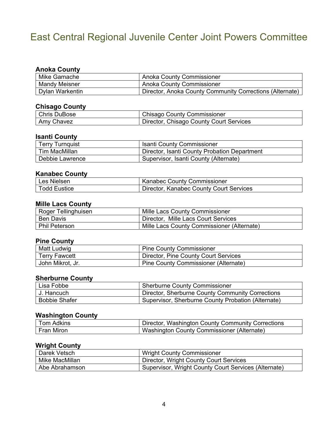## East Central Regional Juvenile Center Joint Powers Committee

#### **Anoka County**

| Mike Gamache         | <b>Anoka County Commissioner</b>                         |
|----------------------|----------------------------------------------------------|
| <b>Mandy Meisner</b> | <b>Anoka County Commissioner</b>                         |
| Dylan Warkentin      | Director, Anoka County Community Corrections (Alternate) |

#### **Chisago County**

| <b>Chris DuBose</b> | <b>Chisago County Commissioner</b>      |
|---------------------|-----------------------------------------|
| Amy Chavez          | Director, Chisago County Court Services |

#### **Isanti County**

| <b>Terry Turnquist</b> | <b>Isanti County Commissioner</b>            |
|------------------------|----------------------------------------------|
| Tim MacMillan          | Director, Isanti County Probation Department |
| Debbie Lawrence        | Supervisor, Isanti County (Alternate)        |

#### **Kanabec County**

| Les Nielsen            | <b>Kanabec County Commissioner</b>      |
|------------------------|-----------------------------------------|
| $\sf {Todd}$ Eustice . | Director, Kanabec County Court Services |

#### **Mille Lacs County**

| Roger Tellinghuisen  | Mille Lacs County Commissioner              |
|----------------------|---------------------------------------------|
| <b>Ben Davis</b>     | Director, Mille Lacs Court Services         |
| <b>Phil Peterson</b> | 'Mille Lacs County Commissioner (Alternate) |

#### **Pine County**

| Matt Ludwig          | <b>Pine County Commissioner</b>      |
|----------------------|--------------------------------------|
| <b>Terry Fawcett</b> | Director, Pine County Court Services |
| John Mikrot, Jr.     | Pine County Commissioner (Alternate) |

#### **Sherburne County**

| Lisa Fobbe           | <b>Sherburne County Commissioner</b>               |
|----------------------|----------------------------------------------------|
| l J. Hancuch i       | Director, Sherburne County Community Corrections   |
| <b>Bobbie Shafer</b> | Supervisor, Sherburne County Probation (Alternate) |

#### **Washington County**

| Tom Adkins | Director, Washington County Community Corrections |
|------------|---------------------------------------------------|
| Fran Miron | Washington County Commissioner (Alternate)        |

#### **Wright County**

| Darek Vetsch   | <b>Wright County Commissioner</b>                    |
|----------------|------------------------------------------------------|
| Mike MacMillan | Director, Wright County Court Services               |
| Abe Abrahamson | Supervisor, Wright County Court Services (Alternate) |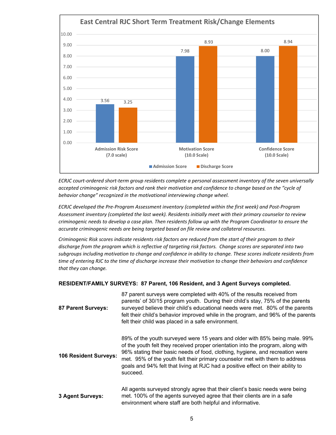

ECRJC court-ordered short-term group residents complete a personal assessment inventory of the seven universally accepted criminogenic risk factors and rank their motivation and confidence to change based on the "cycle of *behavior change" recognized in the motivational interviewing change wheel.*

*ECRJC developed the Pre‐Program Assessment inventory (completed within the first week) and Post‐Program Assessment inventory (completed the last week). Residents initially meet with their primary counselor to review* criminogenic needs to develop a case plan. Then residents follow up with the Program Coordinator to ensure the *accurate criminogenic needs are being targeted based on file review and collateral resources.* 

Criminogenic Risk scores indicate residents risk factors are reduced from the start of their program to their discharge from the program which is reflective of targeting risk factors. Change scores are separated into two subgroups including motivation to change and confidence in ability to change. These scores indicate residents from time of entering RJC to the time of discharge increase their motivation to change their behaviors and confidence *that they can change.* 

#### **RESIDENT/FAMILY SURVEYS: 87 Parent, 106 Resident, and 3 Agent Surveys completed.**

| 87 Parent Surveys:    | 87 parent surveys were completed with 40% of the results received from<br>parents' of 30/15 program youth. During their child's stay, 75% of the parents<br>surveyed believe their child's educational needs were met. 80% of the parents<br>felt their child's behavior improved while in the program, and 96% of the parents<br>felt their child was placed in a safe environment.                                         |
|-----------------------|------------------------------------------------------------------------------------------------------------------------------------------------------------------------------------------------------------------------------------------------------------------------------------------------------------------------------------------------------------------------------------------------------------------------------|
| 106 Resident Surveys: | 89% of the youth surveyed were 15 years and older with 85% being male. 99%<br>of the youth felt they received proper orientation into the program, along with<br>96% stating their basic needs of food, clothing, hygiene, and recreation were<br>met. 95% of the youth felt their primary counselor met with them to address<br>goals and 94% felt that living at RJC had a positive effect on their ability to<br>succeed. |
| 3 Agent Surveys:      | All agents surveyed strongly agree that their client's basic needs were being<br>met. 100% of the agents surveyed agree that their clients are in a safe<br>environment where staff are both helpful and informative.                                                                                                                                                                                                        |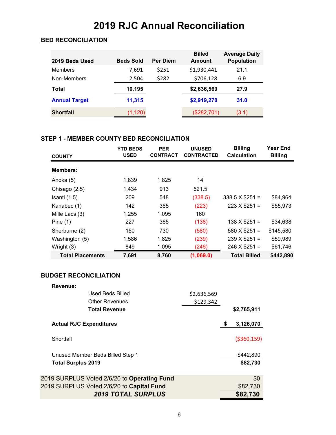## **2019 RJC Annual Reconciliation**

#### **BED RECONCILIATION**

| 2019 Beds Used       | <b>Beds Sold</b> | <b>Per Diem</b> | <b>Billed</b><br><b>Amount</b> | <b>Average Daily</b><br><b>Population</b> |
|----------------------|------------------|-----------------|--------------------------------|-------------------------------------------|
| <b>Members</b>       | 7,691            | \$251           | \$1,930,441                    | 21.1                                      |
| Non-Members          | 2,504            | \$282           | \$706,128                      | 6.9                                       |
| Total                | 10,195           |                 | \$2,636,569                    | 27.9                                      |
| <b>Annual Target</b> | 11,315           |                 | \$2,919,270                    | 31.0                                      |
| <b>Shortfall</b>     | (1, 120)         |                 | (\$282,701)                    | (3.1)                                     |

#### **STEP 1 - MEMBER COUNTY BED RECONCILIATION**

| <b>COUNTY</b>           | <b>YTD BEDS</b><br><b>USED</b> | <b>PER</b><br><b>CONTRACT</b> | <b>UNUSED</b><br><b>CONTRACTED</b> | <b>Billing</b><br><b>Calculation</b> | Year End<br><b>Billing</b> |
|-------------------------|--------------------------------|-------------------------------|------------------------------------|--------------------------------------|----------------------------|
| <b>Members:</b>         |                                |                               |                                    |                                      |                            |
| Anoka (5)               | 1,839                          | 1,825                         | 14                                 |                                      |                            |
| Chisago (2.5)           | 1.434                          | 913                           | 521.5                              |                                      |                            |
| Isanti $(1.5)$          | 209                            | 548                           | (338.5)                            | $338.5 \times $251 =$                | \$84,964                   |
| Kanabec (1)             | 142                            | 365                           | (223)                              | $223 \times $251 =$                  | \$55,973                   |
| Mille Lacs (3)          | 1,255                          | 1,095                         | 160                                |                                      |                            |
| Pine $(1)$              | 227                            | 365                           | (138)                              | $138 \times $251 =$                  | \$34,638                   |
| Sherburne (2)           | 150                            | 730                           | (580)                              | $580 \times $251 =$                  | \$145,580                  |
| Washington (5)          | 1,586                          | 1,825                         | (239)                              | $239 \times $251 =$                  | \$59,989                   |
| Wright (3)              | 849                            | 1,095                         | (246)                              | $246 \times $251 =$                  | \$61,746                   |
| <b>Total Placements</b> | 7,691                          | 8,760                         | (1,069.0)                          | <b>Total Billed</b>                  | \$442,890                  |

#### **BUDGET RECONCILIATION**

| Revenue:                                    |             |                 |
|---------------------------------------------|-------------|-----------------|
| Used Beds Billed                            | \$2,636,569 |                 |
| <b>Other Revenues</b>                       | \$129,342   |                 |
| <b>Total Revenue</b>                        |             | \$2,765,911     |
| <b>Actual RJC Expenditures</b>              |             | \$<br>3,126,070 |
| Shortfall                                   |             | ( \$360, 159)   |
| Unused Member Beds Billed Step 1            |             | \$442,890       |
| <b>Total Surplus 2019</b>                   |             | \$82,730        |
| 2019 SURPLUS Voted 2/6/20 to Operating Fund |             | \$0             |
| 2019 SURPLUS Voted 2/6/20 to Capital Fund   |             | \$82,730        |
| <b>2019 TOTAL SURPLUS</b>                   |             | \$82,730        |
|                                             |             |                 |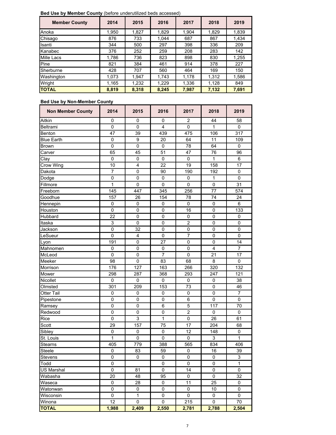**Bed Use by Member County** (before underutilized beds accessed)

| <b>Member County</b> | 2014  | 2015  | 2016  | 2017  | 2018  | 2019  |
|----------------------|-------|-------|-------|-------|-------|-------|
| Anoka                | 1,950 | 1.827 | 1.829 | 1.904 | 1,829 | 1,839 |
| Chisago              | 876   | 733   | 1,044 | 687   | 867   | 1,434 |
| Isanti               | 344   | 500   | 297   | 398   | 336   | 209   |
| Kanabec              | 376   | 252   | 259   | 208   | 283   | 142   |
| <b>Mille Lacs</b>    | 1,786 | 736   | 823   | 898   | 830   | 1,255 |
| Pine                 | 821   | 384   | 461   | 914   | 378   | 227   |
| Sherburne            | 428   | 707   | 560   | 464   | 169   | 150   |
| Washington           | 1,073 | 1,947 | 1,743 | 1,178 | 1,312 | 1,586 |
| Wright               | 1,165 | 1,232 | 1,229 | 1,336 | 1,128 | 849   |
| <b>TOTAL</b>         | 8,819 | 8,318 | 8.245 | 7,987 | 7,132 | 7,691 |

#### **Bed Use by Non-Member County**

| <b>Non Member County</b> | 2014            | 2015             | 2016           | 2017             | 2018            | 2019            |
|--------------------------|-----------------|------------------|----------------|------------------|-----------------|-----------------|
| Aitkin                   | $\mathbf 0$     | 0                | 0              | $\overline{c}$   | 44              | 58              |
| Beltrami                 | 0               | $\mathbf 0$      | $\overline{4}$ | 0                | 1               | 0               |
| Benton                   | 47              | 39               | 439            | 475              | 106             | 317             |
| <b>Blue Earth</b>        | $\mathbf 0$     | $\boldsymbol{9}$ | 20             | 64               | 11              | 109             |
| <b>Brown</b>             | $\pmb{0}$       | $\pmb{0}$        | $\pmb{0}$      | 78               | 64              | 0               |
| Carver                   | 65              | 45               | 51             | 47               | 76              | 96              |
| Clay                     | 0               | $\pmb{0}$        | 0              | 0                | 1               | 6               |
| Crow Wing                | 10              | $\overline{4}$   | 22             | 19               | 158             | 17              |
| Dakota                   | $\overline{7}$  | $\mathbf 0$      | 90             | 190              | 192             | $\mathsf 0$     |
| Dodge                    | $\mathsf 0$     | $\mathbf 0$      | 0              | 0                | 1               | 0               |
| Fillmore                 | 1               | $\mathbf{0}$     | $\overline{0}$ | 0                | $\mathbf 0$     | 31              |
| Freeborn                 | 145             | 447              | 345            | 256              | $\overline{77}$ | 574             |
| Goodhue                  | 157             | 26               | 154            | 78               | 74              | 24              |
| Hennepin                 | $\pmb{0}$       | 0                | $\pmb{0}$      | $\pmb{0}$        | $\pmb{0}$       | 6               |
| Houston                  | $\pmb{0}$       | $\pmb{0}$        | $\pmb{0}$      | 16               | $\mathbf 0$     | 133             |
| Hubbard                  | 22              | $\pmb{0}$        | $\mathbf 0$    | $\mathbf 0$      | $\mathbf 0$     | 0               |
| Itaska                   | 3               | $\mathbf 0$      | $\mathbf 0$    | $\overline{2}$   | $\mathbf 0$     | 0               |
| Jackson                  | $\pmb{0}$       | 32               | $\pmb{0}$      | $\pmb{0}$        | $\pmb{0}$       | 0               |
| LeSueur                  | 0               | 4                | 0              | 7                | 0               | 0               |
| Lyon                     | 191             | 0                | 27             | 0                | 0               | 14              |
| Mahnomen                 | 0               | $\mathbf 0$      | 0              | $\mathbf 0$      | $\overline{4}$  | $\overline{7}$  |
| McLeod                   | $\pmb{0}$       | 0                | $\overline{7}$ | $\pmb{0}$        | $\overline{21}$ | $\overline{17}$ |
| Meeker                   | 98              | $\mathbf 0$      | 83             | 68               | 8               | 0               |
| Morrison                 | 176             | 127              | 163            | 266              | 320             | 132             |
| Mower                    | 298             | 287              | 368            | 293              | 247             | 121             |
| Nicollet                 | $\mathbf 0$     | 0                | 0              | 0                | $\mathbf 0$     | 38              |
| Olmsted                  | 301             | 209              | 153            | 73               | $\pmb{0}$       | 46              |
| <b>Otter Tail</b>        | $\mathbf 0$     | $\mathbf 0$      | 0              | $\pmb{0}$        | $\mathbf 0$     | $\overline{7}$  |
| Pipestone                | $\mathbf 0$     | $\overline{0}$   | $\mathbf 0$    | $\overline{6}$   | $\mathbf 0$     | $\mathbf 0$     |
| Ramsey                   | $\pmb{0}$       | $\mathbf 0$      | $\,6$          | 5                | 117             | 70              |
| Redwood                  | $\pmb{0}$       | $\mathbf 0$      | $\mathsf 0$    | $\boldsymbol{2}$ | $\pmb{0}$       | 0               |
| Rice                     | $\mathbf 0$     | 3                | 1              | $\pmb{0}$        | 26              | 61              |
| Scott                    | 29              | 157              | 75             | 17               | 204             | 68              |
| Sibley                   | $\pmb{0}$       | $\pmb{0}$        | $\pmb{0}$      | 12               | 148             | $\pmb{0}$       |
| St. Louis                | 1               | $\pmb{0}$        | 0              | 0                | $\mathsf 3$     | $\mathbf{1}$    |
| Stearns                  | 405             | 779              | 388            | 565              | 834             | 406             |
| Steele                   | $\pmb{0}$       | 83               | 59             | 0                | 16              | 39              |
| <b>Stevens</b>           | $\mathbf 0$     | $\mathbf 0$      | 0              | 0                | 0               | 3               |
| Todd                     | 0               |                  | 0              | 0                | 0               | $\mathbf{1}$    |
| US Marshal               | 0               | 81               | 0              | 14               | $\pmb{0}$       | 0               |
| Wabasha                  | 20              | 48               | 95             | 0                | $\mathbf 0$     | 32              |
| Waseca                   | 0               | 28               | 0              | 11               | $\overline{25}$ | 0               |
| Watonwan                 | $\overline{0}$  | 0                | $\overline{0}$ | $\pmb{0}$        | 10              | 0               |
| Wisconsin                | $\mathbf 0$     | $\mathbf{1}$     | 0              | 0                | 0               | 0               |
| Winona                   | $\overline{12}$ | $\mathbf 0$      | 0              | 215              | $\mathbf 0$     | $\overline{70}$ |
| <b>TOTAL</b>             | 1,988           | 2,409            | 2,550          | 2,781            | 2,788           | 2,504           |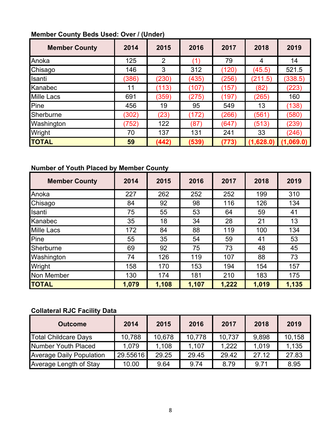#### **Member County Beds Used: Over / (Under)**

| <b>Member County</b> | 2014  | 2015  | 2016          | 2017  | 2018      | 2019      |
|----------------------|-------|-------|---------------|-------|-----------|-----------|
| Anoka                | 125   | 2     | $^{\prime}$ 1 | 79    | 4         | 14        |
| Chisago              | 146   | 3     | 312           | (120) | (45.5)    | 521.5     |
| Isanti               | (386) | (230) | (435)         | (256) | (211.5)   | (338.5)   |
| Kanabec              | 11    | (113) | (107)         | (157) | (82)      | (223)     |
| <b>Mille Lacs</b>    | 691   | (359) | (275)         | (197) | (265)     | 160       |
| Pine                 | 456   | 19    | 95            | 549   | 13        | (138)     |
| Sherburne            | (302) | (23)  | (172)         | (266) | (561)     | (580)     |
| Washington           | (752) | 122   | (87)          | (647) | (513)     | (239)     |
| Wright               | 70    | 137   | 131           | 241   | 33        | (246)     |
| <b>TOTAL</b>         | 59    | (442) | (539)         | (773) | (1,628.0) | (1,069.0) |

#### **Number of Youth Placed by Member County**

| <b>Member County</b> | 2014  | 2015  | 2016  | 2017  | 2018  | 2019  |
|----------------------|-------|-------|-------|-------|-------|-------|
| Anoka                | 227   | 262   | 252   | 252   | 199   | 310   |
| Chisago              | 84    | 92    | 98    | 116   | 126   | 134   |
| Isanti               | 75    | 55    | 53    | 64    | 59    | 41    |
| Kanabec              | 35    | 18    | 34    | 28    | 21    | 13    |
| <b>Mille Lacs</b>    | 172   | 84    | 88    | 119   | 100   | 134   |
| Pine                 | 55    | 35    | 54    | 59    | 41    | 53    |
| Sherburne            | 69    | 92    | 75    | 73    | 48    | 45    |
| Washington           | 74    | 126   | 119   | 107   | 88    | 73    |
| Wright               | 158   | 170   | 153   | 194   | 154   | 157   |
| <b>Non Member</b>    | 130   | 174   | 181   | 210   | 183   | 175   |
| <b>TOTAL</b>         | 1,079 | 1,108 | 1,107 | 1,222 | 1,019 | 1,135 |

#### **Collateral RJC Facility Data**

| <b>Outcome</b>                  | 2014     | 2015   | 2016   | 2017   | 2018  | 2019   |
|---------------------------------|----------|--------|--------|--------|-------|--------|
| <b>Total Childcare Days</b>     | 10,788   | 10,678 | 10,778 | 10,737 | 9,898 | 10,158 |
| Number Youth Placed             | 1.079    | 1,108  | 1.107  | 1.222  | 1.019 | 1,135  |
| <b>Average Daily Population</b> | 29.55616 | 29.25  | 29.45  | 29.42  | 27.12 | 27.83  |
| Average Length of Stay          | 10.00    | 9.64   | 9.74   | 8.79   | 9.71  | 8.95   |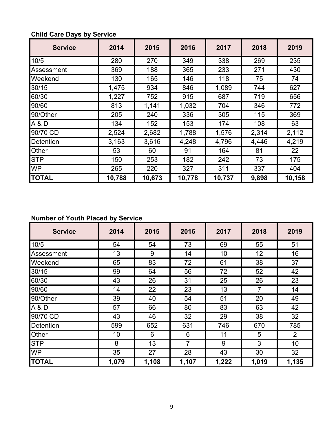| <b>Service</b> | 2014   | 2015   | 2016   | 2017   | 2018  | 2019   |
|----------------|--------|--------|--------|--------|-------|--------|
| 10/5           | 280    | 270    | 349    | 338    | 269   | 235    |
| Assessment     | 369    | 188    | 365    | 233    | 271   | 430    |
| Weekend        | 130    | 165    | 146    | 118    | 75    | 74     |
| 30/15          | 1,475  | 934    | 846    | 1,089  | 744   | 627    |
| 60/30          | 1,227  | 752    | 915    | 687    | 719   | 656    |
| 90/60          | 813    | 1,141  | 1,032  | 704    | 346   | 772    |
| 90/Other       | 205    | 240    | 336    | 305    | 115   | 369    |
| A & D          | 134    | 152    | 153    | 174    | 108   | 63     |
| 90/70 CD       | 2,524  | 2,682  | 1,788  | 1,576  | 2,314 | 2,112  |
| Detention      | 3,163  | 3,616  | 4,248  | 4,796  | 4,446 | 4,219  |
| Other          | 53     | 60     | 91     | 164    | 81    | 22     |
| <b>STP</b>     | 150    | 253    | 182    | 242    | 73    | 175    |
| <b>WP</b>      | 265    | 220    | 327    | 311    | 337   | 404    |
| <b>TOTAL</b>   | 10,788 | 10,673 | 10,778 | 10,737 | 9,898 | 10,158 |

#### **Child Care Days by Service**

#### **Number of Youth Placed by Service**

| <b>Service</b>   | 2014  | 2015  | 2016  | 2017  | 2018           | 2019  |
|------------------|-------|-------|-------|-------|----------------|-------|
| 10/5             | 54    | 54    | 73    | 69    | 55             | 51    |
| Assessment       | 13    | 9     | 14    | 10    | 12             | 16    |
| Weekend          | 65    | 83    | 72    | 61    | 38             | 37    |
| 30/15            | 99    | 64    | 56    | 72    | 52             | 42    |
| 60/30            | 43    | 26    | 31    | 25    | 26             | 23    |
| 90/60            | 14    | 22    | 23    | 13    | $\overline{7}$ | 14    |
| 90/Other         | 39    | 40    | 54    | 51    | 20             | 49    |
| A&D              | 57    | 66    | 80    | 83    | 63             | 42    |
| 90/70 CD         | 43    | 46    | 32    | 29    | 38             | 32    |
| <b>Detention</b> | 599   | 652   | 631   | 746   | 670            | 785   |
| Other            | 10    | 6     | 6     | 11    | 5              | 2     |
| <b>STP</b>       | 8     | 13    | 7     | 9     | 3              | 10    |
| <b>WP</b>        | 35    | 27    | 28    | 43    | 30             | 32    |
| <b>TOTAL</b>     | 1,079 | 1,108 | 1,107 | 1,222 | 1,019          | 1,135 |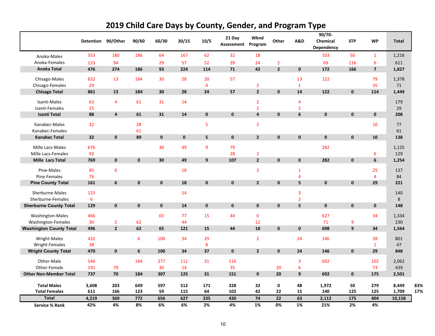|                                | Detention | 90/Other                | 90/60       | 60/30       | 30/15       | 10/5           | 21 Day<br>Assessment | Wknd<br>Program         | Other          | A&D              | 90/70-<br>Chemical<br>Dependency | <b>STP</b>   | <b>WP</b>               | Total  |
|--------------------------------|-----------|-------------------------|-------------|-------------|-------------|----------------|----------------------|-------------------------|----------------|------------------|----------------------------------|--------------|-------------------------|--------|
| Anoka-Males                    | 353       | 180                     | 186         | 64          | 167         | 62             | 32                   | 18                      |                |                  | 103                              | 50           | $\mathbf{1}$            | 1,216  |
| Anoka-Females                  | 123       | 94                      |             | 29          | 57          | 52             | 39                   | 24                      | $\overline{2}$ |                  | 69                               | 116          | 6                       | 611    |
| <b>Anoka Total</b>             | 476       | 274                     | 186         | 93          | 224         | 114            | 71                   | 42                      | $\overline{2}$ | $\mathbf 0$      | 172                              | 166          | $\overline{\mathbf{z}}$ | 1,827  |
| Chisago-Males                  | 832       | 13                      | 184         | 30          | 28          | 20             | 57                   |                         |                | 13               | 122                              |              | 79                      | 1,378  |
| Chisago-Females                | 29        |                         |             |             |             | $\overline{4}$ |                      | $\overline{2}$          |                | $\mathbf{1}$     |                                  |              | 35                      | 71     |
| <b>Chisago Total</b>           | 861       | 13                      | 184         | 30          | 28          | 24             | 57                   | $\mathbf{2}$            | $\mathbf 0$    | 14               | 122                              | $\mathbf 0$  | 114                     | 1,449  |
| Isanti-Males                   | 63        | $\overline{4}$          | 61          | 31          | 14          |                |                      | $\overline{2}$          |                | 4                |                                  |              |                         | 179    |
| Isanti-Females                 | 25        |                         |             |             |             |                |                      | $\overline{2}$          |                | $\overline{2}$   |                                  |              |                         | 29     |
| <b>Isanti Total</b>            | 88        | $\overline{\mathbf{4}}$ | 61          | 31          | 14          | $\mathbf 0$    | $\mathbf 0$          | $\overline{\mathbf{4}}$ | $\mathbf 0$    | $\bf 6$          | $\mathbf 0$                      | $\mathbf 0$  | $\mathbf 0$             | 208    |
| Kanabec-Males                  | 32        |                         | 28          |             |             | 5              |                      | $\overline{2}$          |                |                  |                                  |              | 10                      | 77     |
| Kanabec-Females                |           |                         | 61          |             |             |                |                      |                         |                |                  |                                  |              |                         | 61     |
| <b>Kanabec Total</b>           | 32        | $\mathbf 0$             | 89          | $\mathbf 0$ | $\mathbf 0$ | 5              | $\mathbf 0$          | $\overline{2}$          | $\mathbf 0$    | $\pmb{0}$        | $\mathbf 0$                      | $\mathbf 0$  | 10                      | 138    |
| Mille Lacs-Males               | 676       |                         |             | 30          | 49          | 9              | 79                   |                         |                |                  | 282                              |              |                         | 1,125  |
| Mille Lacs-Females             | 93        |                         |             |             |             |                | 28                   | $\overline{2}$          |                |                  |                                  |              | 6                       | 129    |
| <b>Mille Lacs Total</b>        | 769       | $\mathbf 0$             | $\pmb{0}$   | 30          | 49          | 9              | 107                  | $\mathbf{2}$            | $\mathbf 0$    | $\pmb{0}$        | 282                              | $\mathbf{0}$ | 6                       | 1,254  |
| Pine-Males                     | 85        | 6                       |             |             | 18          |                |                      | $\overline{2}$          |                | $\mathbf{1}$     |                                  |              | 25                      | 137    |
| Pine-Females                   | 76        |                         |             |             |             |                |                      |                         |                | $\overline{4}$   |                                  |              | $\overline{4}$          | 84     |
| <b>Pine County Total</b>       | 161       | 6                       | $\mathbf 0$ | $\mathbf 0$ | 18          | $\mathbf 0$    | $\mathbf{0}$         | $\overline{2}$          | $\mathbf 0$    | 5                | $\mathbf 0$                      | $\mathbf 0$  | 29                      | 221    |
| Sherburne-Males                | 123       |                         |             |             | 14          |                |                      |                         |                | 3                |                                  |              |                         | 140    |
| Sherburne-Females              | 6         |                         |             |             |             |                |                      |                         |                | $\overline{2}$   |                                  |              |                         | 8      |
| <b>Sherburne County Total</b>  | 129       | $\mathbf 0$             | $\mathbf 0$ | $\mathbf 0$ | 14          | $\mathbf 0$    | $\mathbf 0$          | $\mathbf 0$             | $\pmb{0}$      | 5                | $\mathbf 0$                      | $\mathbf 0$  | $\mathbf 0$             | 148    |
| Washington-Males               | 466       |                         |             | 65          | 77          | 15             | 44                   | $6\phantom{1}6$         |                |                  | 627                              |              | 34                      | 1,334  |
| Washington-Females             | 30        | $\overline{2}$          | 62          |             | 44          |                |                      | 12                      |                |                  | 71                               | 9            |                         | 230    |
| <b>Washington County Total</b> | 496       | $\overline{2}$          | 62          | 65          | 121         | 15             | 44                   | 18                      | $\mathbf 0$    | $\mathbf 0$      | 698                              | 9            | 34                      | 1,564  |
| Wright-Males                   | 432       |                         | 6           | 100         | 34          | 29             |                      | $\overline{2}$          |                | 24               | 146                              |              | 28                      | 801    |
| Wright-Females                 | 38        |                         |             |             |             | 8              |                      |                         |                |                  |                                  |              | $\mathbf{1}$            | 47     |
| <b>Wright County Total</b>     | 470       | $\mathbf 0$             | 6           | 100         | 34          | 37             | $\mathbf 0$          | $\overline{2}$          | $\mathbf 0$    | 24               | 146                              | $\mathbf 0$  | 29                      | 848    |
| Other-Male                     | 546       |                         | 184         | 277         | 111         | 31             | 116                  |                         |                | 3                | 692                              |              | 102                     | 2,062  |
| Other-Female                   | 191       | 70                      |             | 30          | 14          |                | 35                   |                         | 20             | $\boldsymbol{6}$ |                                  |              | 73                      | 439    |
| <b>Other Non-Member Total</b>  | 737       | 70                      | 184         | 307         | 125         | 31             | 151                  | $\mathbf 0$             | 20             | $\boldsymbol{9}$ | 692                              | $\mathbf 0$  | 175                     | 2,501  |
| <b>Total Males</b>             | 3,608     | 203                     | 649         | 597         | 512         | 171            | 328                  | 32                      | $\mathbf 0$    | 48               | 1,972                            | 50           | 279                     | 8,449  |
| <b>Total Females</b>           | 611       | 166                     | 123         | 59          | 115         | 64             | 102                  | 42                      | 22             | 15               | 140                              | 125          | 125                     | 1,709  |
| <b>Total</b>                   | 4,219     | 369                     | 772         | 656         | 627         | 235            | 430                  | 74                      | 22             | 63               | 2,112                            | 175          | 404                     | 10,158 |
| Service % Rank                 | 42%       | 4%                      | 8%          | 6%          | 6%          | 2%             | 4%                   | 1%                      | 0%             | 1%               | 21%                              | 2%           | 4%                      |        |

#### **2019 Child Care Days by County, Gender, and Program Type**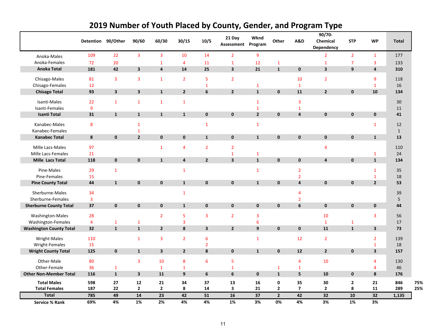|                                         |                |                         |                              |                         |                         |                         | 21 Day                  | Wknd                    |                |                | $90/70 -$               |                  |                                        |                    |
|-----------------------------------------|----------------|-------------------------|------------------------------|-------------------------|-------------------------|-------------------------|-------------------------|-------------------------|----------------|----------------|-------------------------|------------------|----------------------------------------|--------------------|
|                                         |                | Detention 90/Other      | 90/60                        | 60/30                   | 30/15                   | 10/5                    | Assessment Program      |                         | Other          | A&D            | Chemical<br>Dependency  | <b>STP</b>       | <b>WP</b>                              | <b>Total</b>       |
| Anoka-Males                             | 109            | 22                      | $\overline{\mathbf{3}}$      | $\overline{\mathbf{3}}$ | 10                      | 14                      | $\overline{2}$          | $\overline{9}$          |                |                | $\overline{2}$          | $\overline{2}$   | $\mathbf{1}$                           | 177                |
| Anoka-Females                           | 72             | 20                      |                              | $\mathbf{1}$            | $\overline{4}$          | 11                      | $\mathbf 1$             | 12                      | $\mathbf{1}$   |                | $\mathbf{1}$            | $\overline{7}$   | 3                                      | 133                |
| <b>Anoka Total</b>                      | 181            | 42                      | $\overline{\mathbf{3}}$      | $\overline{\mathbf{4}}$ | 14                      | 25                      | $\overline{\mathbf{3}}$ | 21                      | $\mathbf{1}$   | $\mathbf 0$    | $\overline{\mathbf{3}}$ | $\boldsymbol{9}$ | 4                                      | 310                |
| Chisago-Males                           | 81             | $\overline{\mathbf{3}}$ | 3                            | $\mathbf{1}$            | $\overline{2}$          | 5                       | $\overline{2}$          |                         |                | 10             | $\overline{2}$          |                  | 9                                      | 118                |
| Chisago-Females                         | 12             |                         |                              |                         |                         | $\mathbf{1}$            |                         | $\mathbf{1}$            |                | $\mathbf{1}$   |                         |                  | $\mathbf{1}$                           | 16                 |
| <b>Chisago Total</b>                    | 93             | $\mathbf{3}$            | $\mathbf{3}$                 | $\mathbf{1}$            | $\overline{2}$          | 6                       | $\overline{2}$          | ${\bf 1}$               | $\pmb{0}$      | 11             | $\overline{2}$          | $\mathbf 0$      | 10                                     | 134                |
| Isanti-Males                            | 22             | $\mathbf{1}$            | $\mathbf{1}$                 | $\mathbf{1}$            | $\mathbf{1}$            |                         |                         | $\mathbf{1}$            |                | 3              |                         |                  |                                        | 30                 |
| Isanti-Females                          | 9              |                         |                              |                         |                         |                         |                         | $\mathbf{1}$            |                | $\mathbf{1}$   |                         |                  |                                        | 11                 |
| <b>Isanti Total</b>                     | 31             | $\mathbf{1}$            | $\mathbf{1}$                 | $\mathbf{1}$            | $\mathbf{1}$            | $\mathbf{0}$            | $\mathbf 0$             | $\overline{2}$          | $\pmb{0}$      | $\overline{4}$ | $\mathbf{0}$            | $\mathbf 0$      | $\mathbf 0$                            | 41                 |
|                                         |                |                         |                              |                         |                         |                         |                         |                         |                |                |                         |                  |                                        |                    |
| Kanabec-Males                           | 8              |                         | $\mathbf{1}$                 |                         |                         | $\mathbf{1}$            |                         | $\mathbf{1}$            |                |                |                         |                  | $\mathbf{1}$                           | 12                 |
| Kanabec-Females<br><b>Kanabec Total</b> | 8              | $\pmb{0}$               | $\mathbf{1}$<br>$\mathbf{2}$ | $\mathbf 0$             | $\mathbf 0$             | $\mathbf{1}$            | $\mathbf 0$             | $\mathbf{1}$            | $\pmb{0}$      | $\mathbf 0$    | $\mathbf 0$             | $\mathbf 0$      | $\mathbf{1}$                           | $\mathbf{1}$<br>13 |
|                                         |                |                         |                              |                         |                         |                         |                         |                         |                |                |                         |                  |                                        |                    |
| Mille Lacs-Males                        | 97             |                         |                              | $\mathbf{1}$            | $\overline{4}$          | $\overline{2}$          | $\overline{2}$          |                         |                |                | $\overline{4}$          |                  |                                        | 110                |
| Mille Lacs-Females                      | 21             |                         |                              |                         |                         |                         | $\mathbf{1}$            | $\mathbf{1}$            |                |                |                         |                  | $\mathbf{1}$                           | 24                 |
| <b>Mille Lacs Total</b>                 | 118            | $\mathbf 0$             | $\pmb{0}$                    | $\mathbf{1}$            | $\overline{4}$          | $2^{\circ}$             | $\overline{\mathbf{3}}$ | $\mathbf{1}$            | $\mathbf 0$    | $\mathbf 0$    | $\overline{4}$          | $\bf{0}$         | $\mathbf{1}$                           | 134                |
| Pine-Males                              | 29             | $\mathbf{1}$            |                              |                         | $\mathbf{1}$            |                         |                         | $\mathbf{1}$            |                | $\overline{2}$ |                         |                  | $\mathbf{1}$                           | 35                 |
| Pine-Females                            | 15             |                         |                              |                         |                         |                         |                         |                         |                | $\overline{2}$ |                         |                  | $\mathbf{1}$                           | 18                 |
| <b>Pine County Total</b>                | 44             | $\mathbf{1}$            | $\pmb{0}$                    | $\mathbf 0$             | $\mathbf{1}$            | $\mathbf{0}$            | $\pmb{0}$               | ${\bf 1}$               | $\pmb{0}$      | $\pmb{4}$      | $\mathbf 0$             | $\pmb{0}$        | $\mathbf{2}$                           | 53                 |
| Sherburne-Males                         | 34             |                         |                              |                         | $\mathbf{1}$            |                         |                         |                         |                | 4              |                         |                  |                                        | 39                 |
| Sherburne-Females                       | $\overline{3}$ |                         |                              |                         |                         |                         |                         |                         |                | $\overline{2}$ |                         |                  |                                        | 5                  |
| <b>Sherburne County Total</b>           | 37             | $\pmb{0}$               | $\pmb{0}$                    | $\mathbf 0$             | $\mathbf{1}$            | $\mathbf{0}$            | $\mathbf{0}$            | $\mathbf 0$             | $\pmb{0}$      | 6              | $\mathbf{0}$            | $\mathbf 0$      | $\mathbf 0$                            | 44                 |
| Washington-Males                        | 28             |                         |                              | $\overline{2}$          | 5                       | 3                       | $\overline{2}$          | $\overline{\mathbf{3}}$ |                |                | 10                      |                  | 3                                      | 56                 |
| Washington-Females                      | $\overline{4}$ | $\mathbf{1}$            | $\mathbf{1}$                 |                         | $\overline{\mathbf{3}}$ |                         |                         | $6\phantom{1}6$         |                |                | $\mathbf{1}$            | $\mathbf{1}$     |                                        | 17                 |
| <b>Washington County Total</b>          | 32             | $\mathbf 1$             | $\mathbf 1$                  | $\overline{2}$          | $\pmb{8}$               | $\overline{\mathbf{3}}$ | $\overline{2}$          | $\boldsymbol{9}$        | $\pmb{0}$      | $\mathbf 0$    | 11                      | $\mathbf 1$      | $\mathbf{3}$                           | 73                 |
|                                         |                |                         |                              |                         |                         |                         |                         |                         |                |                |                         |                  |                                        |                    |
| Wright-Males<br>Wright-Females          | 110<br>15      |                         | $\mathbf{1}$                 | $\overline{\mathbf{3}}$ | $\overline{2}$          | 6                       |                         | $\mathbf{1}$            |                | 12             | $\overline{2}$          |                  | $\overline{2}$                         | 139<br>18          |
| <b>Wright County Total</b>              | 125            | $\mathbf 0$             | $\mathbf{1}$                 | $\overline{\mathbf{3}}$ | $\overline{2}$          | $\overline{2}$<br>8     | $\mathbf 0$             | $\mathbf{1}$            | $\mathbf 0$    | 12             | $\overline{2}$          | $\mathbf 0$      | $\mathbf 1$<br>$\overline{\mathbf{3}}$ | 157                |
|                                         |                |                         |                              |                         |                         |                         |                         |                         |                |                |                         |                  |                                        |                    |
| Other-Male                              | 80             |                         | 3                            | 10                      | 8                       | 6                       | 5                       |                         |                | $\overline{4}$ | 10                      |                  | $\overline{4}$                         | 130                |
| Other-Female                            | 36             | $\mathbf{1}$            |                              | $\mathbf 1$             | $\mathbf 1$             |                         | $\mathbf 1$             |                         | $\mathbf{1}$   | $\mathbf{1}$   |                         |                  | $\overline{4}$                         | 46                 |
| <b>Other Non-Member Total</b>           | 116            | $\mathbf{1}$            | $\overline{\mathbf{3}}$      | 11                      | 9                       | 6                       | $\bf 6$                 | $\mathbf 0$             | $\mathbf 1$    | 5              | 10                      | $\mathbf 0$      | $\bf{8}$                               | 176                |
| <b>Total Males</b>                      | 598            | 27                      | ${\bf 12}$                   | 21                      | 34                      | 37                      | 13                      | 16                      | 0              | 35             | 30                      | $\mathbf{2}$     | 21                                     | 846                |
| <b>Total Females</b>                    | 187            | 22                      | $\mathbf{2}$                 | $\mathbf{2}$            | 8                       | 14                      | $\overline{\mathbf{3}}$ | 21                      | $\mathbf{2}$   | $\overline{7}$ | $\overline{2}$          | 8                | 11                                     | 289                |
| <b>Total</b>                            | 785            | 49                      | 14                           | $\overline{23}$         | 42                      | 51                      | 16                      | $\overline{37}$         | $\overline{2}$ | 42             | $\overline{32}$         | 10               | $\overline{32}$                        | 1,135              |
| <b>Service % Rank</b>                   | 69%            | 4%                      | 1%                           | 2%                      | 4%                      | 4%                      | 1%                      | 3%                      | 0%             | 4%             | 3%                      | 1%               | 3%                                     |                    |

#### **2019 Number of Youth Placed by County, Gender, and Program Type**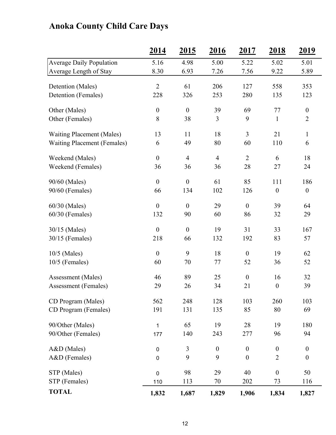## **Anoka County Child Care Days**

|                                    | <u>2014</u>      | <u>2015</u>      | <u>2016</u>      | 2017             | <u>2018</u>      | <u>2019</u>      |
|------------------------------------|------------------|------------------|------------------|------------------|------------------|------------------|
| <b>Average Daily Population</b>    | 5.16             | 4.98             | 5.00             | 5.22             | 5.02             | 5.01             |
| Average Length of Stay             | 8.30             | 6.93             | 7.26             | 7.56             | 9.22             | 5.89             |
| Detention (Males)                  | $\overline{2}$   | 61               | 206              | 127              | 558              | 353              |
| Detention (Females)                | 228              | 326              | 253              | 280              | 135              | 123              |
| Other (Males)                      | $\boldsymbol{0}$ | $\boldsymbol{0}$ | 39               | 69               | 77               | $\boldsymbol{0}$ |
| Other (Females)                    | 8                | 38               | $\mathfrak{Z}$   | 9                | $\mathbf{1}$     | $\overline{2}$   |
| <b>Waiting Placement (Males)</b>   | 13               | 11               | 18               | $\overline{3}$   | 21               | $\mathbf{1}$     |
| <b>Waiting Placement (Females)</b> | 6                | 49               | 80               | 60               | 110              | 6                |
| Weekend (Males)                    | $\boldsymbol{0}$ | $\overline{4}$   | $\overline{4}$   | $\overline{2}$   | 6                | 18               |
| Weekend (Females)                  | 36               | 36               | 36               | 28               | 27               | 24               |
| 90/60 (Males)                      | $\boldsymbol{0}$ | $\boldsymbol{0}$ | 61               | 85               | 111              | 186              |
| 90/60 (Females)                    | 66               | 134              | 102              | 126              | $\boldsymbol{0}$ | $\boldsymbol{0}$ |
| 60/30 (Males)                      | $\boldsymbol{0}$ | $\boldsymbol{0}$ | 29               | $\boldsymbol{0}$ | 39               | 64               |
| $60/30$ (Females)                  | 132              | 90               | 60               | 86               | 32               | 29               |
| 30/15 (Males)                      | $\boldsymbol{0}$ | $\boldsymbol{0}$ | 19               | 31               | 33               | 167              |
| 30/15 (Females)                    | 218              | 66               | 132              | 192              | 83               | 57               |
| 10/5 (Males)                       | $\boldsymbol{0}$ | 9                | 18               | $\boldsymbol{0}$ | 19               | 62               |
| $10/5$ (Females)                   | 60               | 70               | 77               | 52               | 36               | 52               |
| Assessment (Males)                 | 46               | 89               | 25               | $\boldsymbol{0}$ | 16               | 32               |
| <b>Assessment</b> (Females)        | 29               | 26               | 34               | 21               | $\boldsymbol{0}$ | 39               |
| CD Program (Males)                 | 562              | 248              | 128              | 103              | 260              | 103              |
| CD Program (Females)               | 191              | 131              | 135              | 85               | 80               | 69               |
| 90/Other (Males)                   | 1                | 65               | 19               | 28               | 19               | 180              |
| 90/Other (Females)                 | 177              | 140              | 243              | 277              | 96               | 94               |
| A&D (Males)                        | $\pmb{0}$        | 3                | $\boldsymbol{0}$ | $\boldsymbol{0}$ | $\boldsymbol{0}$ | $\boldsymbol{0}$ |
| A&D (Females)                      | $\pmb{0}$        | 9                | 9                | $\boldsymbol{0}$ | $\overline{2}$   | $\boldsymbol{0}$ |
| STP (Males)                        | $\mathbf 0$      | 98               | 29               | 40               | $\boldsymbol{0}$ | 50               |
| STP (Females)                      | 110              | 113              | 70               | 202              | 73               | 116              |
| <b>TOTAL</b>                       | 1,832            | 1,687            | 1,829            | 1,906            | 1,834            | 1,827            |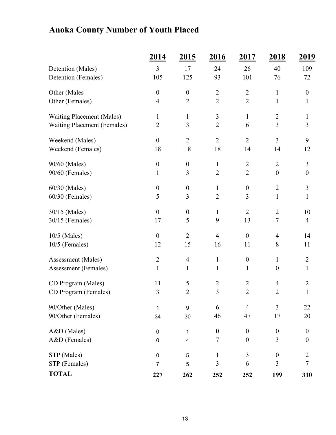## **Anoka County Number of Youth Placed**

|                                    | <u>2014</u>      | <u>2015</u>      | <u>2016</u>      | <u>2017</u>      | 2018             | <u>2019</u>      |
|------------------------------------|------------------|------------------|------------------|------------------|------------------|------------------|
| Detention (Males)                  | 3                | 17               | 24               | 26               | 40               | 109              |
| Detention (Females)                | 105              | 125              | 93               | 101              | 76               | 72               |
| Other (Males                       | $\overline{0}$   | $\boldsymbol{0}$ | $\overline{2}$   | $\overline{2}$   | $\mathbf{1}$     | $\boldsymbol{0}$ |
| Other (Females)                    | $\overline{4}$   | $\overline{2}$   | $\overline{2}$   | $\overline{2}$   | $\mathbf{1}$     | $\mathbf{1}$     |
| <b>Waiting Placement (Males)</b>   | $\mathbf{1}$     | $\mathbf{1}$     | $\mathfrak{Z}$   | $\mathbf{1}$     | $\mathbf{2}$     | $\mathbf{1}$     |
| <b>Waiting Placement (Females)</b> | $\sqrt{2}$       | 3                | $\overline{2}$   | 6                | $\overline{3}$   | 3                |
| Weekend (Males)                    | $\overline{0}$   | $\overline{2}$   | $\overline{2}$   | $\overline{2}$   | $\overline{3}$   | 9                |
| Weekend (Females)                  | 18               | 18               | 18               | 14               | 14               | 12               |
| 90/60 (Males)                      | $\boldsymbol{0}$ | $\boldsymbol{0}$ | $\mathbf{1}$     | $\overline{2}$   | $\overline{2}$   | $\mathfrak{Z}$   |
| 90/60 (Females)                    | $\mathbf{1}$     | 3                | $\overline{2}$   | $\overline{2}$   | $\boldsymbol{0}$ | $\boldsymbol{0}$ |
| 60/30 (Males)                      | $\boldsymbol{0}$ | $\boldsymbol{0}$ | $\mathbf{1}$     | $\boldsymbol{0}$ | $\sqrt{2}$       | $\mathfrak{Z}$   |
| 60/30 (Females)                    | 5                | $\mathfrak{Z}$   | $\overline{2}$   | 3                | $\mathbf{1}$     | $\mathbf{1}$     |
| 30/15 (Males)                      | $\boldsymbol{0}$ | $\boldsymbol{0}$ | $\mathbf{1}$     | $\overline{2}$   | $\overline{2}$   | 10               |
| 30/15 (Females)                    | 17               | 5                | 9                | 13               | $\boldsymbol{7}$ | $\overline{4}$   |
| 10/5 (Males)                       | $\boldsymbol{0}$ | $\overline{2}$   | $\overline{4}$   | $\boldsymbol{0}$ | $\overline{4}$   | 14               |
| 10/5 (Females)                     | 12               | 15               | 16               | 11               | $8\,$            | 11               |
| Assessment (Males)                 | $\overline{2}$   | $\overline{4}$   | $\mathbf{1}$     | $\boldsymbol{0}$ | $\mathbf{1}$     | $\overline{2}$   |
| Assessment (Females)               | $\mathbf{1}$     | $\mathbf{1}$     | $\mathbf{1}$     | $\mathbf{1}$     | $\boldsymbol{0}$ | $\mathbf{1}$     |
| CD Program (Males)                 | 11               | 5                | $\overline{2}$   | $\overline{2}$   | $\overline{4}$   | $\sqrt{2}$       |
| CD Program (Females)               | 3                | $\overline{2}$   | 3                | $\overline{2}$   | $\overline{2}$   | $\mathbf{1}$     |
| 90/Other (Males)                   | 1                | 9                | 6                | $\overline{4}$   | $\overline{3}$   | 22               |
| 90/Other (Females)                 | 34               | 30               | 46               | 47               | 17               | 20               |
| A&D (Males)                        | $\pmb{0}$        | 1                | $\boldsymbol{0}$ | $\boldsymbol{0}$ | $\boldsymbol{0}$ | $\boldsymbol{0}$ |
| A&D (Females)                      | $\pmb{0}$        | 4                | $\tau$           | $\boldsymbol{0}$ | 3                | $\boldsymbol{0}$ |
| STP (Males)                        | $\pmb{0}$        | $\mathbf 5$      | $\mathbf{1}$     | $\overline{3}$   | $\boldsymbol{0}$ | $\overline{2}$   |
| STP (Females)                      | $\overline{7}$   | 5                | 3                | 6                | 3                | $\tau$           |
| <b>TOTAL</b>                       | 227              | 262              | 252              | 252              | 199              | 310              |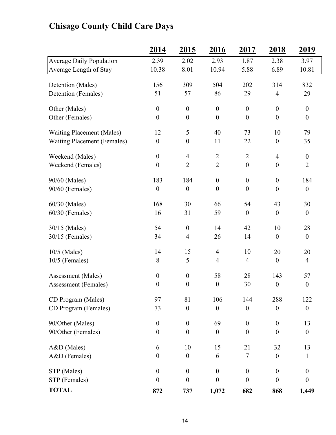## **2014 2015 2016 2017 2018 2019** Average Daily Population 2.39 2.02 2.93 1.87 2.38 3.97 Average Length of Stay 10.38 8.01 10.94 5.88 6.89 10.81 Detention (Males) 156 309 504 202 314 832 Detention (Females) 51 57 86 29 4 29 Other (Males)  $0 \t 0 \t 0 \t 0 \t 0$  0 0 Other (Females)  $0 \t 0 \t 0 \t 0 \t 0$  0 0 Waiting Placement (Males) 12 5 40 73 10 79 Waiting Placement (Females)  $0 \t 0 \t 11 \t 22 \t 0 \t 35$ Weekend (Males)  $0 \t 4 \t 2 \t 2 \t 4 \t 0$ Weekend (Females)  $0 \t 2 \t 2 \t 0 \t 0 \t 2$ 90/60 (Males) 183 184 0 0 0 184  $90/60$  (Females)  $0 \t 0 \t 0 \t 0 \t 0$  0 0 60/30 (Males) 168 30 66 54 43 30 60/30 (Females) 16 31 59 0 0 0 30/15 (Males) 54 0 14 42 10 28 30/15 (Females) 34 4 26 14 0 0 10/5 (Males) 14 15 4 10 20 20 10/5 (Females) 8 5 4 4 0 4 Assessment (Males) 0 0 58 28 143 57 Assessment (Females)  $0 \t 0 \t 0 \t 30 \t 0$ CD Program (Males) 97 81 106 144 288 122 CD Program (Females)  $73$  0 0 0 0 0 90/Other (Males) 0 0 69 0 0 13 90/Other (Females)  $0 \t 0 \t 0 \t 0 \t 0$  0 0 A&D (Males) 6 10 15 21 32 13  $A&D$  (Females)  $0 \t 0 \t 6 \t 7 \t 0 \t 1$  $STP (Males)$  0 0 0 0 0 0  $STP$  (Females)  $0 \t 0 \t 0 \t 0 \t 0$  0 0 **TOTAL 872 737 1,072 682 868 1,449**

#### **Chisago County Child Care Days**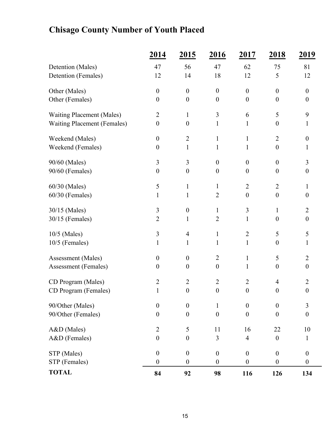## **Chisago County Number of Youth Placed**

|                                    | 2014             | 2015             | 2016             | 2017             | 2018             | <u>2019</u>      |
|------------------------------------|------------------|------------------|------------------|------------------|------------------|------------------|
| Detention (Males)                  | 47               | 56               | 47               | 62               | 75               | 81               |
| Detention (Females)                | 12               | 14               | 18               | 12               | 5                | 12               |
| Other (Males)                      | $\boldsymbol{0}$ | $\boldsymbol{0}$ | $\boldsymbol{0}$ | $\boldsymbol{0}$ | $\boldsymbol{0}$ | $\boldsymbol{0}$ |
| Other (Females)                    | $\boldsymbol{0}$ | $\boldsymbol{0}$ | $\boldsymbol{0}$ | $\boldsymbol{0}$ | $\boldsymbol{0}$ | $\boldsymbol{0}$ |
| <b>Waiting Placement (Males)</b>   | $\overline{2}$   | $\mathbf{1}$     | 3                | 6                | 5                | 9                |
| <b>Waiting Placement (Females)</b> | $\boldsymbol{0}$ | $\boldsymbol{0}$ | $\mathbf{1}$     | 1                | $\boldsymbol{0}$ | 1                |
| Weekend (Males)                    | $\boldsymbol{0}$ | $\overline{2}$   | $\mathbf{1}$     | $\mathbf{1}$     | $\overline{2}$   | $\boldsymbol{0}$ |
| Weekend (Females)                  | $\boldsymbol{0}$ | $\mathbf{1}$     | $\mathbf{1}$     | 1                | $\boldsymbol{0}$ | 1                |
| 90/60 (Males)                      | 3                | 3                | $\boldsymbol{0}$ | $\boldsymbol{0}$ | $\boldsymbol{0}$ | 3                |
| 90/60 (Females)                    | $\boldsymbol{0}$ | $\boldsymbol{0}$ | $\boldsymbol{0}$ | $\boldsymbol{0}$ | $\boldsymbol{0}$ | $\boldsymbol{0}$ |
| 60/30 (Males)                      | 5                | $\mathbf{1}$     | $\mathbf{1}$     | $\overline{2}$   | $\overline{2}$   | 1                |
| 60/30 (Females)                    | $\mathbf{1}$     | $\mathbf{1}$     | $\overline{2}$   | $\boldsymbol{0}$ | $\boldsymbol{0}$ | $\boldsymbol{0}$ |
| 30/15 (Males)                      | 3                | $\boldsymbol{0}$ | $\mathbf{1}$     | 3                | $\mathbf{1}$     | $\overline{2}$   |
| 30/15 (Females)                    | $\overline{2}$   | $\mathbf{1}$     | $\overline{2}$   | 1                | $\boldsymbol{0}$ | $\boldsymbol{0}$ |
| 10/5 (Males)                       | 3                | $\overline{4}$   | $\mathbf{1}$     | $\overline{2}$   | 5                | 5                |
| 10/5 (Females)                     | 1                | $\mathbf{1}$     | $\mathbf{1}$     | $\mathbf{1}$     | $\boldsymbol{0}$ | 1                |
| Assessment (Males)                 | $\mathbf{0}$     | $\boldsymbol{0}$ | $\overline{2}$   | $\mathbf{1}$     | 5                | $\overline{2}$   |
| <b>Assessment</b> (Females)        | $\boldsymbol{0}$ | $\boldsymbol{0}$ | $\boldsymbol{0}$ | $\mathbf{1}$     | $\boldsymbol{0}$ | $\boldsymbol{0}$ |
| CD Program (Males)                 | $\overline{2}$   | $\overline{2}$   | $\overline{2}$   | $\overline{2}$   | 4                | $\overline{2}$   |
| CD Program (Females)               | $\mathbf{1}$     | $\boldsymbol{0}$ | $\boldsymbol{0}$ | $\boldsymbol{0}$ | $\boldsymbol{0}$ | $\boldsymbol{0}$ |
| 90/Other (Males)                   | $\boldsymbol{0}$ | $\boldsymbol{0}$ | $\mathbf{1}$     | $\boldsymbol{0}$ | $\boldsymbol{0}$ | 3                |
| 90/Other (Females)                 | $\boldsymbol{0}$ | $\boldsymbol{0}$ | $\boldsymbol{0}$ | $\boldsymbol{0}$ | $\overline{0}$   | $\theta$         |
| A&D (Males)                        | $\overline{2}$   | 5                | 11               | 16               | 22               | 10               |
| A&D (Females)                      | $\boldsymbol{0}$ | $\boldsymbol{0}$ | $\mathfrak{Z}$   | $\overline{4}$   | $\boldsymbol{0}$ | 1                |
| STP (Males)                        | $\boldsymbol{0}$ | $\boldsymbol{0}$ | $\boldsymbol{0}$ | $\boldsymbol{0}$ | $\boldsymbol{0}$ | $\boldsymbol{0}$ |
| STP (Females)                      | $\boldsymbol{0}$ | $\boldsymbol{0}$ | $\boldsymbol{0}$ | $\boldsymbol{0}$ | $\boldsymbol{0}$ | $\boldsymbol{0}$ |
| <b>TOTAL</b>                       | 84               | 92               | 98               | 116              | 126              | 134              |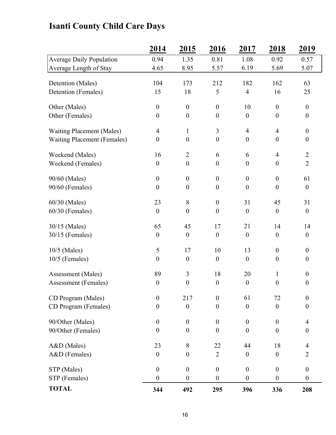## **Isanti County Child Care Days**

|                                    | 2014             | 2015             | 2016             | 2017             | 2018             | 2019             |
|------------------------------------|------------------|------------------|------------------|------------------|------------------|------------------|
| <b>Average Daily Population</b>    | 0.94             | 1.35             | 0.81             | 1.08             | 0.92             | 0.57             |
| Average Length of Stay             | 4.65             | 8.95             | 5.57             | 6.19             | 5.69             | 5.07             |
| Detention (Males)                  | 104              | 173              | 212              | 182              | 162              | 63               |
| Detention (Females)                | 15               | 18               | 5                | $\overline{4}$   | 16               | 25               |
|                                    |                  |                  |                  |                  |                  |                  |
| Other (Males)                      | $\boldsymbol{0}$ | $\boldsymbol{0}$ | $\boldsymbol{0}$ | 10               | $\boldsymbol{0}$ | $\mathbf{0}$     |
| Other (Females)                    | $\boldsymbol{0}$ | $\boldsymbol{0}$ | $\boldsymbol{0}$ | $\boldsymbol{0}$ | $\boldsymbol{0}$ | $\boldsymbol{0}$ |
| <b>Waiting Placement (Males)</b>   | $\overline{4}$   | $\mathbf{1}$     | 3                | $\overline{4}$   | $\overline{4}$   | $\boldsymbol{0}$ |
| <b>Waiting Placement (Females)</b> | $\boldsymbol{0}$ | $\boldsymbol{0}$ | $\boldsymbol{0}$ | $\boldsymbol{0}$ | $\boldsymbol{0}$ | $\boldsymbol{0}$ |
|                                    |                  |                  |                  |                  |                  |                  |
| Weekend (Males)                    | 16               | $\overline{2}$   | 6                | 6                | $\overline{4}$   | $\overline{2}$   |
| Weekend (Females)                  | $\boldsymbol{0}$ | $\boldsymbol{0}$ | $\boldsymbol{0}$ | $\boldsymbol{0}$ | $\boldsymbol{0}$ | $\overline{2}$   |
| 90/60 (Males)                      | $\boldsymbol{0}$ | $\boldsymbol{0}$ | $\boldsymbol{0}$ | $\boldsymbol{0}$ | $\boldsymbol{0}$ | 61               |
| 90/60 (Females)                    | $\boldsymbol{0}$ | $\boldsymbol{0}$ | $\boldsymbol{0}$ | $\boldsymbol{0}$ | $\boldsymbol{0}$ | $\boldsymbol{0}$ |
| 60/30 (Males)                      | 23               | $\,8\,$          | $\boldsymbol{0}$ | 31               | 45               | 31               |
| $60/30$ (Females)                  | $\boldsymbol{0}$ | $\boldsymbol{0}$ | $\boldsymbol{0}$ | $\boldsymbol{0}$ | $\boldsymbol{0}$ | $\overline{0}$   |
|                                    |                  |                  |                  |                  |                  |                  |
| 30/15 (Males)                      | 65               | 45               | 17               | 21               | 14               | 14               |
| 30/15 (Females)                    | $\boldsymbol{0}$ | $\boldsymbol{0}$ | $\boldsymbol{0}$ | $\boldsymbol{0}$ | $\boldsymbol{0}$ | $\boldsymbol{0}$ |
| $10/5$ (Males)                     | 5                | 17               | 10               | 13               | $\boldsymbol{0}$ | $\mathbf{0}$     |
| $10/5$ (Females)                   | $\boldsymbol{0}$ | $\boldsymbol{0}$ | $\boldsymbol{0}$ | $\boldsymbol{0}$ | $\boldsymbol{0}$ | $\overline{0}$   |
| Assessment (Males)                 | 89               | $\mathfrak{Z}$   | 18               | 20               | $\mathbf{1}$     | $\overline{0}$   |
| <b>Assessment</b> (Females)        | $\boldsymbol{0}$ | $\boldsymbol{0}$ | $\boldsymbol{0}$ | $\boldsymbol{0}$ | $\boldsymbol{0}$ | $\boldsymbol{0}$ |
|                                    |                  |                  |                  |                  |                  |                  |
| CD Program (Males)                 | $\boldsymbol{0}$ | 217              | $\boldsymbol{0}$ | 61               | 72               | $\boldsymbol{0}$ |
| CD Program (Females)               | $\boldsymbol{0}$ | $\boldsymbol{0}$ | $\boldsymbol{0}$ | $\theta$         | $\boldsymbol{0}$ | $\overline{0}$   |
| 90/Other (Males)                   | $\boldsymbol{0}$ | $\boldsymbol{0}$ | $\boldsymbol{0}$ | $\boldsymbol{0}$ | $\boldsymbol{0}$ | $\overline{4}$   |
| 90/Other (Females)                 | $\boldsymbol{0}$ | $\boldsymbol{0}$ | $\boldsymbol{0}$ | $\boldsymbol{0}$ | $\boldsymbol{0}$ | $\boldsymbol{0}$ |
|                                    |                  |                  |                  |                  |                  |                  |
| A&D (Males)                        | 23               | $8\,$            | 22               | 44               | 18               | $\overline{4}$   |
| A&D (Females)                      | $\boldsymbol{0}$ | $\boldsymbol{0}$ | $\overline{2}$   | $\boldsymbol{0}$ | $\overline{0}$   | $\overline{2}$   |
| STP (Males)                        | $\boldsymbol{0}$ | $\boldsymbol{0}$ | $\boldsymbol{0}$ | $\boldsymbol{0}$ | $\boldsymbol{0}$ | $\boldsymbol{0}$ |
| STP (Females)                      | $\boldsymbol{0}$ | $\boldsymbol{0}$ | $\boldsymbol{0}$ | $\boldsymbol{0}$ | $\boldsymbol{0}$ | $\overline{0}$   |
| <b>TOTAL</b>                       | 344              | 492              | 295              | 396              | 336              | 208              |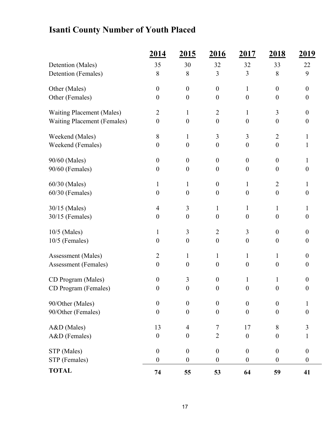## **Isanti County Number of Youth Placed**

|                                    | 2014             | <u>2015</u>      | 2016             | 2017             | <u>2018</u>      | <u>2019</u>      |
|------------------------------------|------------------|------------------|------------------|------------------|------------------|------------------|
| Detention (Males)                  | 35               | 30               | 32               | 32               | 33               | 22               |
| Detention (Females)                | 8                | 8                | 3                | 3                | 8                | 9                |
| Other (Males)                      | $\boldsymbol{0}$ | $\boldsymbol{0}$ | $\boldsymbol{0}$ | $\mathbf{1}$     | $\theta$         | $\boldsymbol{0}$ |
| Other (Females)                    | $\boldsymbol{0}$ | $\boldsymbol{0}$ | $\boldsymbol{0}$ | $\boldsymbol{0}$ | $\theta$         | $\boldsymbol{0}$ |
| <b>Waiting Placement (Males)</b>   | $\overline{2}$   | $\mathbf{1}$     | $\overline{2}$   | $\mathbf{1}$     | 3                | $\boldsymbol{0}$ |
| <b>Waiting Placement (Females)</b> | $\boldsymbol{0}$ | $\boldsymbol{0}$ | $\boldsymbol{0}$ | $\mathbf{0}$     | $\boldsymbol{0}$ | $\boldsymbol{0}$ |
| Weekend (Males)                    | 8                | $\mathbf{1}$     | 3                | 3                | $\overline{2}$   | $\mathbf{1}$     |
| Weekend (Females)                  | $\boldsymbol{0}$ | $\boldsymbol{0}$ | $\boldsymbol{0}$ | $\overline{0}$   | $\boldsymbol{0}$ | $\mathbf{1}$     |
| 90/60 (Males)                      | $\boldsymbol{0}$ | $\boldsymbol{0}$ | $\boldsymbol{0}$ | $\boldsymbol{0}$ | $\theta$         | $\mathbf{1}$     |
| 90/60 (Females)                    | $\boldsymbol{0}$ | $\boldsymbol{0}$ | $\boldsymbol{0}$ | $\boldsymbol{0}$ | $\boldsymbol{0}$ | $\boldsymbol{0}$ |
| 60/30 (Males)                      | $\mathbf{1}$     | $\mathbf{1}$     | $\boldsymbol{0}$ | $\mathbf{1}$     | $\overline{2}$   | 1                |
| 60/30 (Females)                    | $\boldsymbol{0}$ | $\boldsymbol{0}$ | $\boldsymbol{0}$ | $\boldsymbol{0}$ | $\boldsymbol{0}$ | $\boldsymbol{0}$ |
| 30/15 (Males)                      | 4                | 3                | $\mathbf{1}$     | $\mathbf{1}$     | 1                | 1                |
| 30/15 (Females)                    | $\boldsymbol{0}$ | $\boldsymbol{0}$ | $\boldsymbol{0}$ | $\boldsymbol{0}$ | $\boldsymbol{0}$ | $\boldsymbol{0}$ |
| $10/5$ (Males)                     | $\mathbf{1}$     | 3                | $\overline{2}$   | 3                | $\theta$         | $\boldsymbol{0}$ |
| 10/5 (Females)                     | $\boldsymbol{0}$ | $\boldsymbol{0}$ | $\boldsymbol{0}$ | $\boldsymbol{0}$ | $\boldsymbol{0}$ | $\boldsymbol{0}$ |
| Assessment (Males)                 | $\overline{2}$   | $\mathbf 1$      | $\mathbf{1}$     | $\mathbf{1}$     | 1                | $\boldsymbol{0}$ |
| Assessment (Females)               | $\boldsymbol{0}$ | $\boldsymbol{0}$ | $\boldsymbol{0}$ | $\boldsymbol{0}$ | $\boldsymbol{0}$ | $\boldsymbol{0}$ |
| CD Program (Males)                 | $\boldsymbol{0}$ | 3                | $\boldsymbol{0}$ | $\mathbf{1}$     | 1                | $\boldsymbol{0}$ |
| CD Program (Females)               | $\boldsymbol{0}$ | $\boldsymbol{0}$ | $\boldsymbol{0}$ | $\boldsymbol{0}$ | $\boldsymbol{0}$ | $\boldsymbol{0}$ |
| 90/Other (Males)                   | $\boldsymbol{0}$ | $\boldsymbol{0}$ | $\boldsymbol{0}$ | $\boldsymbol{0}$ | $\theta$         | $\mathbf{1}$     |
| 90/Other (Females)                 | $\boldsymbol{0}$ | $\boldsymbol{0}$ | $\mathbf{0}$     | $\boldsymbol{0}$ | $\boldsymbol{0}$ | $\boldsymbol{0}$ |
| A&D (Males)                        | 13               | $\overline{4}$   | 7                | 17               | 8                | 3                |
| A&D (Females)                      | $\boldsymbol{0}$ | $\boldsymbol{0}$ | $\overline{2}$   | $\boldsymbol{0}$ | $\boldsymbol{0}$ | $\mathbf{1}$     |
| STP (Males)                        | $\boldsymbol{0}$ | $\boldsymbol{0}$ | $\boldsymbol{0}$ | $\boldsymbol{0}$ | $\boldsymbol{0}$ | $\boldsymbol{0}$ |
| STP (Females)                      | $\boldsymbol{0}$ | $\boldsymbol{0}$ | $\boldsymbol{0}$ | $\boldsymbol{0}$ | $\boldsymbol{0}$ | $\boldsymbol{0}$ |
| <b>TOTAL</b>                       | 74               | 55               | 53               | 64               | 59               | 41               |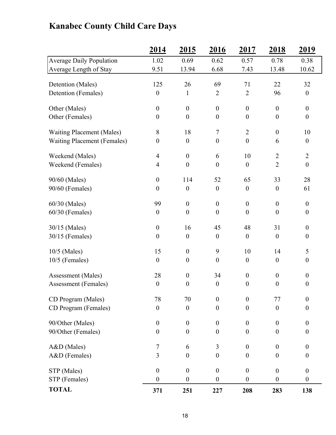## **2014 2015 2016 2017 2018 2019** Average Daily Population 1.02 0.69 0.62 0.57 0.78 0.38 Average Length of Stay 9.51 13.94 6.68 7.43 13.48 10.62 Detention (Males) 125 26 69 71 22 32 Detention (Females) 0 1 2 2 96 0 Other (Males)  $0 \t 0 \t 0 \t 0 \t 0$  0 0 Other (Females)  $0 \t 0 \t 0 \t 0 \t 0$  0 0 Waiting Placement (Males) 8 18 7 2 0 10 Waiting Placement (Females)  $0 \t 0 \t 0 \t 0$  0 6 0 Weekend (Males) 4 0 6 10 2 2 Weekend (Females)  $4 \t 0 \t 0 \t 0 \t 2 \t 0$ 90/60 (Males) 0 114 52 65 33 28 90/60 (Females) 0 0 0 0 0 61  $60/30$  (Males) 99 0 0 0 0 0 60/30 (Females) 0 0 0 0 0 0 0 30/15 (Males) 0 16 45 48 31 0 30/15 (Females) 0 0 0 0 0 0 10/5 (Males) 15 0 9 10 14 5 10/5 (Females) 0 0 0 0 0 0 0 Assessment (Males) 28 0 34 0 0 0 Assessment (Females)  $0 \t 0 \t 0 \t 0 \t 0$  0 CD Program (Males)  $78$   $70$  0 0  $77$  0  $CD$  Program (Females)  $0$   $0$   $0$   $0$   $0$ 90/Other (Males)  $0 \t 0 \t 0 \t 0 \t 0$  0 0 90/Other (Females)  $0 \t 0 \t 0 \t 0 \t 0$  0 0 A&D (Males) 7 6 3 0 0 0  $A&D$  (Females)  $3$  0 0 0 0 0  $STP (Males)$  0 0 0 0 0 0  $STP$  (Females)  $0 \t 0 \t 0 \t 0 \t 0$  0 0 **TOTAL 371 251 227 208 283 138**

#### **Kanabec County Child Care Days**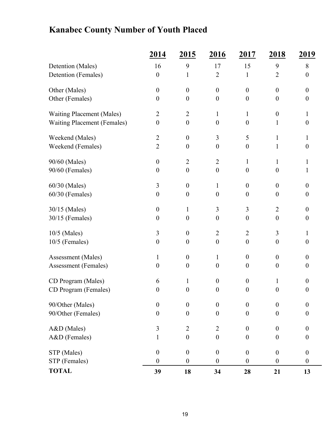## **Kanabec County Number of Youth Placed**

|                                    | 2014             | <u>2015</u>      | 2016             | 2017             | <u>2018</u>      | <u>2019</u>      |
|------------------------------------|------------------|------------------|------------------|------------------|------------------|------------------|
| Detention (Males)                  | 16               | 9                | 17               | 15               | 9                | 8                |
| Detention (Females)                | $\boldsymbol{0}$ | 1                | $\overline{2}$   | $\mathbf{1}$     | $\overline{2}$   | $\boldsymbol{0}$ |
| Other (Males)                      | $\boldsymbol{0}$ | $\theta$         | $\boldsymbol{0}$ | $\overline{0}$   | $\theta$         | $\overline{0}$   |
| Other (Females)                    | $\boldsymbol{0}$ | $\boldsymbol{0}$ | $\theta$         | $\theta$         | $\boldsymbol{0}$ | $\boldsymbol{0}$ |
| <b>Waiting Placement (Males)</b>   | $\overline{2}$   | $\overline{2}$   | $\mathbf{1}$     | $\mathbf{1}$     | $\boldsymbol{0}$ | $\mathbf{1}$     |
| <b>Waiting Placement (Females)</b> | $\boldsymbol{0}$ | $\boldsymbol{0}$ | $\boldsymbol{0}$ | $\theta$         | 1                | $\boldsymbol{0}$ |
| Weekend (Males)                    | $\overline{2}$   | $\boldsymbol{0}$ | 3                | 5                | 1                | 1                |
| Weekend (Females)                  | $\overline{2}$   | $\boldsymbol{0}$ | $\boldsymbol{0}$ | $\boldsymbol{0}$ | 1                | $\boldsymbol{0}$ |
| 90/60 (Males)                      | $\boldsymbol{0}$ | $\overline{2}$   | $\overline{2}$   | $\mathbf{1}$     | 1                | 1                |
| 90/60 (Females)                    | $\boldsymbol{0}$ | $\boldsymbol{0}$ | $\boldsymbol{0}$ | $\theta$         | $\theta$         | 1                |
| 60/30 (Males)                      | 3                | $\boldsymbol{0}$ | $\mathbf{1}$     | $\overline{0}$   | $\theta$         | $\boldsymbol{0}$ |
| 60/30 (Females)                    | $\boldsymbol{0}$ | $\boldsymbol{0}$ | $\boldsymbol{0}$ | $\boldsymbol{0}$ | $\boldsymbol{0}$ | $\boldsymbol{0}$ |
| 30/15 (Males)                      | $\boldsymbol{0}$ | $\mathbf{1}$     | 3                | 3                | $\overline{2}$   | $\boldsymbol{0}$ |
| 30/15 (Females)                    | $\boldsymbol{0}$ | $\boldsymbol{0}$ | $\boldsymbol{0}$ | $\boldsymbol{0}$ | $\boldsymbol{0}$ | $\boldsymbol{0}$ |
| 10/5 (Males)                       | 3                | $\boldsymbol{0}$ | $\overline{2}$   | $\overline{2}$   | $\overline{3}$   | $\mathbf{1}$     |
| $10/5$ (Females)                   | $\boldsymbol{0}$ | $\boldsymbol{0}$ | $\boldsymbol{0}$ | $\boldsymbol{0}$ | $\boldsymbol{0}$ | $\boldsymbol{0}$ |
| Assessment (Males)                 | 1                | $\boldsymbol{0}$ | $\mathbf{1}$     | $\boldsymbol{0}$ | $\theta$         | $\boldsymbol{0}$ |
| Assessment (Females)               | $\boldsymbol{0}$ | $\boldsymbol{0}$ | $\boldsymbol{0}$ | $\overline{0}$   | $\boldsymbol{0}$ | $\boldsymbol{0}$ |
| CD Program (Males)                 | 6                | $\mathbf 1$      | $\boldsymbol{0}$ | $\overline{0}$   | 1                | $\overline{0}$   |
| CD Program (Females)               | $\boldsymbol{0}$ | $\boldsymbol{0}$ | $\boldsymbol{0}$ | $\boldsymbol{0}$ | $\boldsymbol{0}$ | $\boldsymbol{0}$ |
| 90/Other (Males)                   | $\boldsymbol{0}$ | $\mathbf{0}$     | $\boldsymbol{0}$ | $\boldsymbol{0}$ | $\theta$         | $\boldsymbol{0}$ |
| 90/Other (Females)                 | $\boldsymbol{0}$ | $\overline{0}$   | $\theta$         | $\boldsymbol{0}$ | $\theta$         | $\boldsymbol{0}$ |
| A&D (Males)                        | $\mathfrak{Z}$   | $\overline{2}$   | $\overline{2}$   | $\boldsymbol{0}$ | $\boldsymbol{0}$ | $\boldsymbol{0}$ |
| A&D (Females)                      | $\mathbf{1}$     | $\boldsymbol{0}$ | $\boldsymbol{0}$ | $\boldsymbol{0}$ | $\boldsymbol{0}$ | $\boldsymbol{0}$ |
| STP (Males)                        | $\boldsymbol{0}$ | $\boldsymbol{0}$ | $\boldsymbol{0}$ | $\boldsymbol{0}$ | $\boldsymbol{0}$ | $\boldsymbol{0}$ |
| STP (Females)                      | $\boldsymbol{0}$ | $\boldsymbol{0}$ | $\boldsymbol{0}$ | $\boldsymbol{0}$ | $\boldsymbol{0}$ | $\boldsymbol{0}$ |
| <b>TOTAL</b>                       | 39               | 18               | 34               | 28               | 21               | 13               |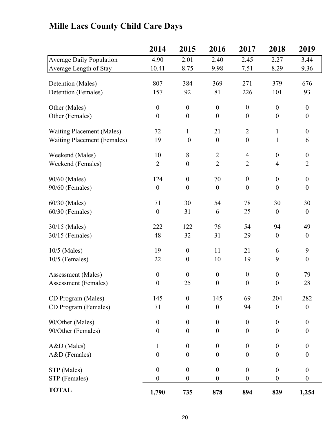|                                      | 2014             | <u>2015</u>      | <u>2016</u>      | <u>2017</u>      | <u>2018</u>              | <u>2019</u>      |
|--------------------------------------|------------------|------------------|------------------|------------------|--------------------------|------------------|
| Average Daily Population             | 4.90             | 2.01             | 2.40             | 2.45             | 2.27                     | 3.44             |
| Average Length of Stay               | 10.41            | 8.75             | 9.98             | 7.51             | 8.29                     | 9.36             |
|                                      | 807              | 384              | 369              | 271              | 379                      | 676              |
| Detention (Males)                    |                  |                  |                  | 226              |                          |                  |
| Detention (Females)                  | 157              | 92               | 81               |                  | 101                      | 93               |
| Other (Males)                        | $\boldsymbol{0}$ | $\boldsymbol{0}$ | $\boldsymbol{0}$ | $\boldsymbol{0}$ | $\boldsymbol{0}$         | $\overline{0}$   |
| Other (Females)                      | $\boldsymbol{0}$ | $\boldsymbol{0}$ | $\boldsymbol{0}$ | $\boldsymbol{0}$ | $\boldsymbol{0}$         | $\boldsymbol{0}$ |
| <b>Waiting Placement (Males)</b>     | 72               | $\mathbf{1}$     | 21               | $\overline{2}$   | $\mathbf{1}$             | $\overline{0}$   |
| <b>Waiting Placement (Females)</b>   | 19               | 10               | $\boldsymbol{0}$ | $\boldsymbol{0}$ | $\mathbf{1}$             | 6                |
|                                      | 10               | $\, 8$           | $\overline{2}$   | $\overline{4}$   | $\boldsymbol{0}$         | $\boldsymbol{0}$ |
| Weekend (Males)<br>Weekend (Females) | $\overline{2}$   | $\boldsymbol{0}$ | $\overline{2}$   | $\overline{2}$   |                          | $\overline{2}$   |
|                                      |                  |                  |                  |                  | $\overline{\mathcal{L}}$ |                  |
| 90/60 (Males)                        | 124              | $\boldsymbol{0}$ | 70               | $\boldsymbol{0}$ | $\boldsymbol{0}$         | $\overline{0}$   |
| 90/60 (Females)                      | $\boldsymbol{0}$ | $\boldsymbol{0}$ | $\boldsymbol{0}$ | $\theta$         | $\boldsymbol{0}$         | $\overline{0}$   |
| 60/30 (Males)                        | 71               | 30               | 54               | 78               | 30                       | 30               |
| $60/30$ (Females)                    | $\boldsymbol{0}$ | 31               | 6                | 25               | $\boldsymbol{0}$         | $\overline{0}$   |
|                                      |                  |                  |                  |                  |                          |                  |
| 30/15 (Males)                        | 222              | 122              | 76               | 54               | 94                       | 49               |
| $30/15$ (Females)                    | 48               | 32               | 31               | 29               | $\boldsymbol{0}$         | $\boldsymbol{0}$ |
| $10/5$ (Males)                       | 19               | $\boldsymbol{0}$ | 11               | 21               | 6                        | 9                |
| $10/5$ (Females)                     | 22               | $\boldsymbol{0}$ | 10               | 19               | 9                        | $\overline{0}$   |
| Assessment (Males)                   | $\boldsymbol{0}$ | $\boldsymbol{0}$ | $\boldsymbol{0}$ | $\boldsymbol{0}$ | $\boldsymbol{0}$         | 79               |
| Assessment (Females)                 | $\boldsymbol{0}$ | 25               | $\boldsymbol{0}$ | $\boldsymbol{0}$ | $\boldsymbol{0}$         | 28               |
| CD Program (Males)                   | 145              | $\boldsymbol{0}$ | 145              | 69               | 204                      | 282              |
| CD Program (Females)                 | 71               | $\boldsymbol{0}$ | $\boldsymbol{0}$ | 94               | $\boldsymbol{0}$         | $\boldsymbol{0}$ |
|                                      |                  |                  |                  |                  |                          |                  |
| 90/Other (Males)                     | $\boldsymbol{0}$ | $\boldsymbol{0}$ | $\boldsymbol{0}$ | $\boldsymbol{0}$ | $\boldsymbol{0}$         | $\overline{0}$   |
| 90/Other (Females)                   | $\boldsymbol{0}$ | $\boldsymbol{0}$ | $\boldsymbol{0}$ | $\boldsymbol{0}$ | $\boldsymbol{0}$         | $\boldsymbol{0}$ |
| A&D (Males)                          | $\mathbf{1}$     | $\boldsymbol{0}$ | $\boldsymbol{0}$ | $\boldsymbol{0}$ | $\boldsymbol{0}$         | $\overline{0}$   |
| A&D (Females)                        | $\boldsymbol{0}$ | $\boldsymbol{0}$ | $\boldsymbol{0}$ | $\boldsymbol{0}$ | $\boldsymbol{0}$         | $\overline{0}$   |
| STP (Males)                          | $\boldsymbol{0}$ | $\boldsymbol{0}$ | $\boldsymbol{0}$ | $\boldsymbol{0}$ | $\boldsymbol{0}$         | $\mathbf{0}$     |
| STP (Females)                        | $\boldsymbol{0}$ | $\boldsymbol{0}$ | $\boldsymbol{0}$ | $\boldsymbol{0}$ | $\boldsymbol{0}$         | $\boldsymbol{0}$ |
|                                      |                  |                  |                  |                  |                          |                  |
| <b>TOTAL</b>                         | 1,790            | 735              | 878              | 894              | 829                      | 1,254            |

## **Mille Lacs County Child Care Days**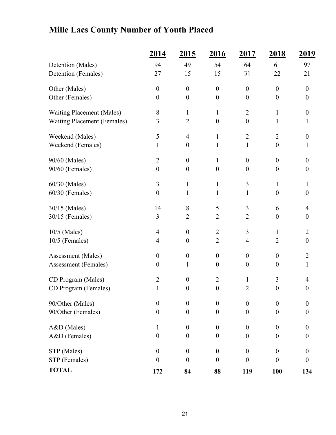## **Mille Lacs County Number of Youth Placed**

|                                    | 2014             | <u>2015</u>      | 2016             | 2017             | <u>2018</u>      | <u> 2019 </u>    |
|------------------------------------|------------------|------------------|------------------|------------------|------------------|------------------|
| Detention (Males)                  | 94               | 49               | 54               | 64               | 61               | 97               |
| Detention (Females)                | 27               | 15               | 15               | 31               | 22               | 21               |
| Other (Males)                      | $\boldsymbol{0}$ | $\boldsymbol{0}$ | $\boldsymbol{0}$ | $\boldsymbol{0}$ | $\boldsymbol{0}$ | $\boldsymbol{0}$ |
| Other (Females)                    | $\boldsymbol{0}$ | $\boldsymbol{0}$ | $\boldsymbol{0}$ | $\boldsymbol{0}$ | $\boldsymbol{0}$ | $\boldsymbol{0}$ |
| <b>Waiting Placement (Males)</b>   | 8                | $\mathbf{1}$     | $\mathbf{1}$     | $\overline{2}$   | $\mathbf{1}$     | $\boldsymbol{0}$ |
| <b>Waiting Placement (Females)</b> | 3                | $\overline{2}$   | $\boldsymbol{0}$ | $\boldsymbol{0}$ | $\mathbf{1}$     | $\mathbf{1}$     |
| Weekend (Males)                    | 5                | $\overline{4}$   | 1                | $\overline{2}$   | $\overline{2}$   | $\boldsymbol{0}$ |
| Weekend (Females)                  | $\mathbf{1}$     | $\boldsymbol{0}$ | 1                | $\mathbf{1}$     | $\boldsymbol{0}$ | 1                |
| 90/60 (Males)                      | $\overline{2}$   | $\boldsymbol{0}$ | $\mathbf{1}$     | $\boldsymbol{0}$ | $\boldsymbol{0}$ | $\boldsymbol{0}$ |
| 90/60 (Females)                    | $\boldsymbol{0}$ | $\boldsymbol{0}$ | $\boldsymbol{0}$ | $\boldsymbol{0}$ | $\boldsymbol{0}$ | $\boldsymbol{0}$ |
| 60/30 (Males)                      | 3                | $\mathbf{1}$     | 1                | 3                | $\mathbf{1}$     | 1                |
| 60/30 (Females)                    | $\boldsymbol{0}$ | 1                | 1                | 1                | $\boldsymbol{0}$ | $\boldsymbol{0}$ |
| 30/15 (Males)                      | 14               | 8                | 5                | $\overline{3}$   | 6                | $\overline{4}$   |
| 30/15 (Females)                    | $\overline{3}$   | $\overline{2}$   | $\overline{2}$   | $\overline{2}$   | $\boldsymbol{0}$ | $\boldsymbol{0}$ |
| 10/5 (Males)                       | $\overline{4}$   | $\boldsymbol{0}$ | $\overline{2}$   | 3                | 1                | $\overline{2}$   |
| 10/5 (Females)                     | $\overline{4}$   | $\boldsymbol{0}$ | $\overline{2}$   | 4                | $\overline{2}$   | $\boldsymbol{0}$ |
| Assessment (Males)                 | $\boldsymbol{0}$ | $\boldsymbol{0}$ | $\boldsymbol{0}$ | $\boldsymbol{0}$ | $\boldsymbol{0}$ | $\overline{2}$   |
| Assessment (Females)               | $\boldsymbol{0}$ | 1                | $\boldsymbol{0}$ | $\boldsymbol{0}$ | $\boldsymbol{0}$ | $\mathbf{1}$     |
| CD Program (Males)                 | $\overline{2}$   | $\boldsymbol{0}$ | $\overline{2}$   | $\mathbf{1}$     | 3                | 4                |
| CD Program (Females)               | 1                | $\boldsymbol{0}$ | $\boldsymbol{0}$ | $\overline{2}$   | $\boldsymbol{0}$ | $\boldsymbol{0}$ |
| 90/Other (Males)                   | $\boldsymbol{0}$ | $\boldsymbol{0}$ | $\boldsymbol{0}$ | $\boldsymbol{0}$ | $\boldsymbol{0}$ | $\boldsymbol{0}$ |
| 90/Other (Females)                 | $\boldsymbol{0}$ | $\mathbf{0}$     | $\boldsymbol{0}$ | $\boldsymbol{0}$ | $\boldsymbol{0}$ | $\boldsymbol{0}$ |
| A&D (Males)                        | $\mathbf{1}$     | $\boldsymbol{0}$ | $\boldsymbol{0}$ | $\boldsymbol{0}$ | $\boldsymbol{0}$ | $\boldsymbol{0}$ |
| A&D (Females)                      | $\boldsymbol{0}$ | $\boldsymbol{0}$ | $\boldsymbol{0}$ | $\boldsymbol{0}$ | $\boldsymbol{0}$ | $\boldsymbol{0}$ |
| STP (Males)                        | $\boldsymbol{0}$ | $\boldsymbol{0}$ | $\boldsymbol{0}$ | $\boldsymbol{0}$ | $\boldsymbol{0}$ | $\boldsymbol{0}$ |
| STP (Females)                      | $\boldsymbol{0}$ | $\boldsymbol{0}$ | $\boldsymbol{0}$ | $\boldsymbol{0}$ | $\boldsymbol{0}$ | $\boldsymbol{0}$ |
| <b>TOTAL</b>                       | 172              | 84               | 88               | 119              | 100              | 134              |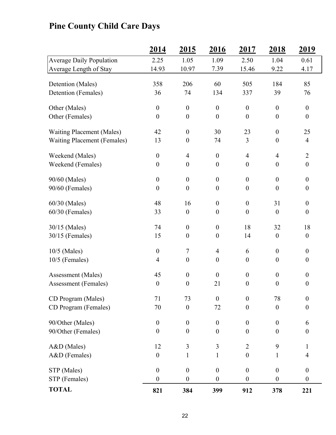## **Pine County Child Care Days**

|                                    | 2014             | 2015                     | 2016             | 2017             | 2018             | 2019             |
|------------------------------------|------------------|--------------------------|------------------|------------------|------------------|------------------|
| <b>Average Daily Population</b>    | 2.25             | 1.05                     | 1.09             | 2.50             | 1.04             | 0.61             |
| Average Length of Stay             | 14.93            | 10.97                    | 7.39             | 15.46            | 9.22             | 4.17             |
|                                    | 358              | 206                      | 60               | 505              | 184              | 85               |
| Detention (Males)                  |                  | 74                       |                  |                  |                  |                  |
| Detention (Females)                | 36               |                          | 134              | 337              | 39               | 76               |
| Other (Males)                      | $\boldsymbol{0}$ | $\boldsymbol{0}$         | $\boldsymbol{0}$ | $\boldsymbol{0}$ | $\boldsymbol{0}$ | $\boldsymbol{0}$ |
| Other (Females)                    | $\boldsymbol{0}$ | $\boldsymbol{0}$         | $\boldsymbol{0}$ | $\boldsymbol{0}$ | $\boldsymbol{0}$ | $\boldsymbol{0}$ |
| <b>Waiting Placement (Males)</b>   | 42               | $\boldsymbol{0}$         | 30               | 23               | $\boldsymbol{0}$ | 25               |
| <b>Waiting Placement (Females)</b> | 13               | $\boldsymbol{0}$         | 74               | $\mathfrak{Z}$   | $\boldsymbol{0}$ | $\overline{4}$   |
|                                    |                  |                          |                  |                  |                  |                  |
| Weekend (Males)                    | $\boldsymbol{0}$ | $\overline{\mathcal{A}}$ | $\boldsymbol{0}$ | $\overline{4}$   | $\overline{4}$   | $\overline{2}$   |
| Weekend (Females)                  | $\boldsymbol{0}$ | $\boldsymbol{0}$         | $\boldsymbol{0}$ | $\boldsymbol{0}$ | $\boldsymbol{0}$ | $\boldsymbol{0}$ |
| 90/60 (Males)                      | $\boldsymbol{0}$ | $\boldsymbol{0}$         | $\boldsymbol{0}$ | $\boldsymbol{0}$ | $\boldsymbol{0}$ | $\boldsymbol{0}$ |
| 90/60 (Females)                    | $\boldsymbol{0}$ | $\boldsymbol{0}$         | $\boldsymbol{0}$ | $\boldsymbol{0}$ | $\boldsymbol{0}$ | $\boldsymbol{0}$ |
|                                    |                  |                          |                  |                  |                  |                  |
| 60/30 (Males)                      | 48               | 16                       | $\boldsymbol{0}$ | $\boldsymbol{0}$ | 31               | $\boldsymbol{0}$ |
| 60/30 (Females)                    | 33               | $\boldsymbol{0}$         | $\boldsymbol{0}$ | $\boldsymbol{0}$ | $\boldsymbol{0}$ | $\boldsymbol{0}$ |
| 30/15 (Males)                      | 74               | $\boldsymbol{0}$         | $\boldsymbol{0}$ | 18               | 32               | 18               |
| 30/15 (Females)                    | 15               | $\boldsymbol{0}$         | $\boldsymbol{0}$ | 14               | $\boldsymbol{0}$ | $\boldsymbol{0}$ |
|                                    |                  |                          |                  |                  |                  |                  |
| $10/5$ (Males)                     | $\boldsymbol{0}$ | $\tau$                   | 4                | 6                | $\boldsymbol{0}$ | $\boldsymbol{0}$ |
| 10/5 (Females)                     | $\overline{4}$   | $\boldsymbol{0}$         | $\boldsymbol{0}$ | $\boldsymbol{0}$ | $\boldsymbol{0}$ | $\boldsymbol{0}$ |
| Assessment (Males)                 | 45               | $\boldsymbol{0}$         | $\boldsymbol{0}$ | $\boldsymbol{0}$ | $\boldsymbol{0}$ | $\boldsymbol{0}$ |
| <b>Assessment</b> (Females)        | $\boldsymbol{0}$ | $\boldsymbol{0}$         | 21               | $\boldsymbol{0}$ | $\boldsymbol{0}$ | $\boldsymbol{0}$ |
|                                    |                  |                          |                  |                  |                  |                  |
| CD Program (Males)                 | 71               | 73                       | $\boldsymbol{0}$ | $\boldsymbol{0}$ | 78               | $\boldsymbol{0}$ |
| CD Program (Females)               | 70               | $\boldsymbol{0}$         | 72               | $\theta$         | $\boldsymbol{0}$ | $\boldsymbol{0}$ |
| 90/Other (Males)                   | $\boldsymbol{0}$ | $\boldsymbol{0}$         | $\boldsymbol{0}$ | $\boldsymbol{0}$ | $\boldsymbol{0}$ | 6                |
| 90/Other (Females)                 | $\boldsymbol{0}$ | $\boldsymbol{0}$         | $\boldsymbol{0}$ | $\boldsymbol{0}$ | $\boldsymbol{0}$ | $\boldsymbol{0}$ |
|                                    |                  |                          |                  |                  |                  |                  |
| A&D (Males)                        | 12               | 3                        | $\overline{3}$   | $\overline{2}$   | 9                | $\mathbf{1}$     |
| A&D (Females)                      | $\boldsymbol{0}$ | $\mathbf{1}$             | $\mathbf{1}$     | $\boldsymbol{0}$ | $\mathbf{1}$     | $\overline{4}$   |
| STP (Males)                        | $\boldsymbol{0}$ | $\boldsymbol{0}$         | $\boldsymbol{0}$ | $\boldsymbol{0}$ | $\boldsymbol{0}$ | $\boldsymbol{0}$ |
| STP (Females)                      | $\boldsymbol{0}$ | $\boldsymbol{0}$         | $\boldsymbol{0}$ | $\boldsymbol{0}$ | $\boldsymbol{0}$ | $\boldsymbol{0}$ |
| <b>TOTAL</b>                       | 821              | 384                      | 399              | 912              | 378              | 221              |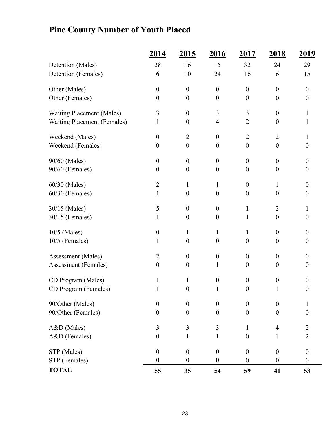## **Pine County Number of Youth Placed**

|                                    | 2014             | 2015             | 2016             | <u>2017</u>      | 2018             | <u>2019</u>      |
|------------------------------------|------------------|------------------|------------------|------------------|------------------|------------------|
| Detention (Males)                  | 28               | 16               | 15               | 32               | 24               | 29               |
| Detention (Females)                | 6                | 10               | 24               | 16               | 6                | 15               |
| Other (Males)                      | $\boldsymbol{0}$ | $\theta$         | $\boldsymbol{0}$ | $\boldsymbol{0}$ | $\theta$         | $\overline{0}$   |
| Other (Females)                    | $\boldsymbol{0}$ | $\boldsymbol{0}$ | $\boldsymbol{0}$ | $\boldsymbol{0}$ | $\boldsymbol{0}$ | $\boldsymbol{0}$ |
| <b>Waiting Placement (Males)</b>   | 3                | $\boldsymbol{0}$ | 3                | 3                | $\theta$         | 1                |
| <b>Waiting Placement (Females)</b> | $\mathbf{1}$     | $\boldsymbol{0}$ | 4                | $\overline{2}$   | $\theta$         | 1                |
| Weekend (Males)                    | $\boldsymbol{0}$ | $\overline{2}$   | $\boldsymbol{0}$ | $\overline{2}$   | $\overline{2}$   | 1                |
| Weekend (Females)                  | $\boldsymbol{0}$ | $\boldsymbol{0}$ | $\boldsymbol{0}$ | $\overline{0}$   | $\theta$         | $\theta$         |
| 90/60 (Males)                      | $\boldsymbol{0}$ | $\boldsymbol{0}$ | $\boldsymbol{0}$ | $\overline{0}$   | $\mathbf{0}$     | $\boldsymbol{0}$ |
| 90/60 (Females)                    | $\boldsymbol{0}$ | $\boldsymbol{0}$ | $\boldsymbol{0}$ | $\boldsymbol{0}$ | $\theta$         | $\boldsymbol{0}$ |
| 60/30 (Males)                      | $\overline{2}$   | $\mathbf{1}$     | 1                | $\boldsymbol{0}$ | 1                | $\overline{0}$   |
| 60/30 (Females)                    | $\mathbf{1}$     | $\boldsymbol{0}$ | $\boldsymbol{0}$ | $\boldsymbol{0}$ | $\overline{0}$   | $\boldsymbol{0}$ |
| 30/15 (Males)                      | 5                | $\boldsymbol{0}$ | $\boldsymbol{0}$ | 1                | $\overline{2}$   | 1                |
| 30/15 (Females)                    | $\mathbf{1}$     | $\boldsymbol{0}$ | $\boldsymbol{0}$ | $\mathbf{1}$     | $\boldsymbol{0}$ | $\boldsymbol{0}$ |
| 10/5 (Males)                       | $\boldsymbol{0}$ | $\mathbf{1}$     | 1                | $\mathbf{1}$     | $\theta$         | $\boldsymbol{0}$ |
| 10/5 (Females)                     | 1                | $\boldsymbol{0}$ | $\boldsymbol{0}$ | $\boldsymbol{0}$ | $\theta$         | $\boldsymbol{0}$ |
| Assessment (Males)                 | $\overline{2}$   | $\boldsymbol{0}$ | $\boldsymbol{0}$ | $\boldsymbol{0}$ | $\boldsymbol{0}$ | $\boldsymbol{0}$ |
| Assessment (Females)               | $\boldsymbol{0}$ | $\boldsymbol{0}$ | 1                | $\boldsymbol{0}$ | $\boldsymbol{0}$ | $\boldsymbol{0}$ |
| CD Program (Males)                 | $\mathbf{1}$     | $\mathbf{1}$     | $\boldsymbol{0}$ | $\boldsymbol{0}$ | $\boldsymbol{0}$ | $\overline{0}$   |
| CD Program (Females)               | $\mathbf{1}$     | $\boldsymbol{0}$ | 1                | $\boldsymbol{0}$ | 1                | $\boldsymbol{0}$ |
| 90/Other (Males)                   | $\boldsymbol{0}$ | $\boldsymbol{0}$ | $\boldsymbol{0}$ | $\boldsymbol{0}$ | $\theta$         | 1                |
| 90/Other (Females)                 | $\boldsymbol{0}$ | $\overline{0}$   | $\overline{0}$   | $\overline{0}$   | $\theta$         | $\boldsymbol{0}$ |
| A&D (Males)                        | 3                | 3                | 3                | $\mathbf{1}$     | $\overline{4}$   | $\overline{c}$   |
| A&D (Females)                      | $\boldsymbol{0}$ | $\mathbf{1}$     | $\mathbf{1}$     | $\boldsymbol{0}$ | $\mathbf{1}$     | $\sqrt{2}$       |
| STP (Males)                        | $\boldsymbol{0}$ | $\boldsymbol{0}$ | $\boldsymbol{0}$ | $\boldsymbol{0}$ | $\boldsymbol{0}$ | $\boldsymbol{0}$ |
| STP (Females)                      | $\boldsymbol{0}$ | $\boldsymbol{0}$ | $\boldsymbol{0}$ | $\boldsymbol{0}$ | $\theta$         | $\boldsymbol{0}$ |
| <b>TOTAL</b>                       | 55               | 35               | 54               | 59               | 41               | 53               |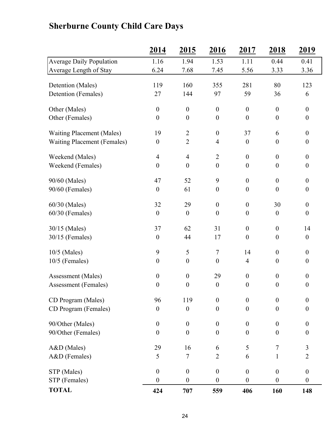## **2014 2015 2016 2017 2018 2019** Average Daily Population 1.16 1.94 1.53 1.11 0.44 0.41 Average Length of Stay 6.24 7.68 7.45 5.56 3.33 3.36 Detention (Males) 119 160 355 281 80 123 Detention (Females) 27 144 97 59 36 6 Other (Males)  $0 \t 0 \t 0 \t 0 \t 0 \t 0$ Other (Females)  $0 \t 0 \t 0 \t 0 \t 0$  0 0 Waiting Placement (Males) 19 2 0 37 6 0 Waiting Placement (Females)  $0 \t 2 \t 4 \t 0 \t 0$ Weekend (Males)  $4$   $4$   $2$   $0$   $0$ Weekend (Females)  $0 \t 0 \t 0 \t 0 \t 0$  0 0 90/60 (Males) 47 52 9 0 0 0 90/60 (Females) 0 61 0 0 0 0 60/30 (Males) 32 29 0 0 30 0 60/30 (Females) 0 0 0 0 0 0 0 30/15 (Males) 37 62 31 0 0 14 30/15 (Females) 0 44 17 0 0 0 10/5 (Males) 9 5 7 14 0 0 10/5 (Females) 0 0 0 4 0 0 Assessment (Males)  $0 \t 0 \t 29 \t 0 \t 0$ Assessment (Females)  $0 \t 0 \t 0 \t 0 \t 0$  0 0 CD Program (Males) 96 119 0 0 0 0  $CD$  Program (Females)  $0$   $0$   $0$   $0$   $0$   $0$ 90/Other (Males)  $0 \t 0 \t 0 \t 0 \t 0$  0 0 90/Other (Females)  $0 \t 0 \t 0 \t 0 \t 0$  0 0 A&D (Males) 29 16 6 5 7 3 A&D (Females)  $5 \t 7 \t 2 \t 6 \t 1 \t 2$  $STP (Males)$  0 0 0 0 0 0  $STP$  (Females)  $0 \t 0 \t 0 \t 0 \t 0$  0 0 **TOTAL 424 707 559 406 160 148**

### **Sherburne County Child Care Days**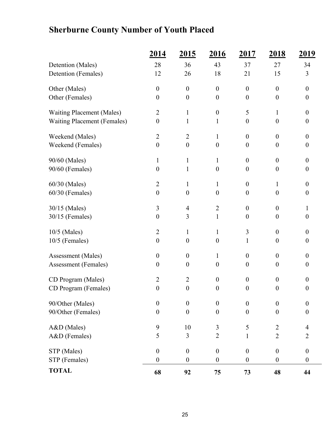## **Sherburne County Number of Youth Placed**

|                                    | <u>2014</u>      | <u>2015</u>      | <u>2016</u>      | <u>2017</u>      | <u>2018</u>      | <u> 2019 </u>    |
|------------------------------------|------------------|------------------|------------------|------------------|------------------|------------------|
| Detention (Males)                  | 28               | 36               | 43               | 37               | 27               | 34               |
| Detention (Females)                | 12               | 26               | 18               | 21               | 15               | 3                |
| Other (Males)                      | $\boldsymbol{0}$ | $\boldsymbol{0}$ | $\boldsymbol{0}$ | $\boldsymbol{0}$ | $\boldsymbol{0}$ | $\boldsymbol{0}$ |
| Other (Females)                    | $\boldsymbol{0}$ | $\boldsymbol{0}$ | $\boldsymbol{0}$ | $\boldsymbol{0}$ | $\boldsymbol{0}$ | $\boldsymbol{0}$ |
| <b>Waiting Placement (Males)</b>   | $\overline{2}$   | $\mathbf{1}$     | $\boldsymbol{0}$ | 5                | $\mathbf{1}$     | $\boldsymbol{0}$ |
| <b>Waiting Placement (Females)</b> | $\boldsymbol{0}$ | $\mathbf{1}$     | $\mathbf{1}$     | $\boldsymbol{0}$ | $\boldsymbol{0}$ | $\boldsymbol{0}$ |
| Weekend (Males)                    | $\overline{2}$   | $\overline{2}$   | $\mathbf{1}$     | $\boldsymbol{0}$ | $\overline{0}$   | $\boldsymbol{0}$ |
| Weekend (Females)                  | $\boldsymbol{0}$ | $\boldsymbol{0}$ | $\boldsymbol{0}$ | $\boldsymbol{0}$ | $\boldsymbol{0}$ | $\boldsymbol{0}$ |
| 90/60 (Males)                      | $\mathbf{1}$     | $\mathbf{1}$     | $\mathbf{1}$     | $\boldsymbol{0}$ | $\boldsymbol{0}$ | $\boldsymbol{0}$ |
| 90/60 (Females)                    | $\boldsymbol{0}$ | $\mathbf{1}$     | $\boldsymbol{0}$ | $\theta$         | $\boldsymbol{0}$ | $\boldsymbol{0}$ |
| 60/30 (Males)                      | $\overline{2}$   | $\mathbf{1}$     | $\mathbf{1}$     | $\boldsymbol{0}$ | $\mathbf{1}$     | $\boldsymbol{0}$ |
| 60/30 (Females)                    | $\boldsymbol{0}$ | $\boldsymbol{0}$ | $\boldsymbol{0}$ | $\boldsymbol{0}$ | $\boldsymbol{0}$ | $\boldsymbol{0}$ |
| 30/15 (Males)                      | 3                | $\overline{4}$   | $\overline{2}$   | $\boldsymbol{0}$ | $\mathbf{0}$     | 1                |
| 30/15 (Females)                    | $\boldsymbol{0}$ | 3                | $\mathbf{1}$     | $\overline{0}$   | $\boldsymbol{0}$ | $\boldsymbol{0}$ |
| 10/5 (Males)                       | $\overline{2}$   | $\mathbf{1}$     | $\mathbf{1}$     | 3                | $\boldsymbol{0}$ | $\boldsymbol{0}$ |
| $10/5$ (Females)                   | $\boldsymbol{0}$ | $\boldsymbol{0}$ | $\boldsymbol{0}$ | $\mathbf{1}$     | $\boldsymbol{0}$ | $\boldsymbol{0}$ |
| Assessment (Males)                 | $\boldsymbol{0}$ | $\overline{0}$   | $\mathbf{1}$     | $\boldsymbol{0}$ | $\boldsymbol{0}$ | $\boldsymbol{0}$ |
| Assessment (Females)               | $\boldsymbol{0}$ | $\theta$         | $\boldsymbol{0}$ | $\theta$         | $\boldsymbol{0}$ | $\boldsymbol{0}$ |
| CD Program (Males)                 | $\overline{2}$   | $\overline{2}$   | $\boldsymbol{0}$ | $\boldsymbol{0}$ | $\boldsymbol{0}$ | $\boldsymbol{0}$ |
| CD Program (Females)               | $\boldsymbol{0}$ | $\boldsymbol{0}$ | $\boldsymbol{0}$ | $\boldsymbol{0}$ | $\boldsymbol{0}$ | $\boldsymbol{0}$ |
| 90/Other (Males)                   | $\boldsymbol{0}$ | $\boldsymbol{0}$ | $\boldsymbol{0}$ | $\boldsymbol{0}$ | $\boldsymbol{0}$ | $\boldsymbol{0}$ |
| 90/Other (Females)                 | $\boldsymbol{0}$ | $\overline{0}$   | $\boldsymbol{0}$ | $\boldsymbol{0}$ | $\boldsymbol{0}$ | $\boldsymbol{0}$ |
| A&D (Males)                        | 9                | 10               | 3                | 5                | $\overline{2}$   | $\overline{4}$   |
| A&D (Females)                      | 5                | 3                | $\overline{2}$   | $\mathbf{1}$     | $\overline{2}$   | $\overline{2}$   |
| STP (Males)                        | $\boldsymbol{0}$ | $\boldsymbol{0}$ | $\boldsymbol{0}$ | $\boldsymbol{0}$ | $\boldsymbol{0}$ | $\boldsymbol{0}$ |
| STP (Females)                      | $\boldsymbol{0}$ | $\boldsymbol{0}$ | $\boldsymbol{0}$ | $\boldsymbol{0}$ | $\boldsymbol{0}$ | $\boldsymbol{0}$ |
| <b>TOTAL</b>                       | 68               | 92               | 75               | 73               | 48               | 44               |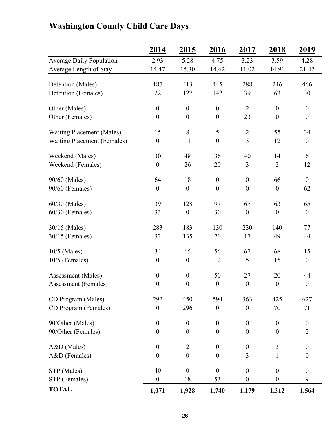|                                    | 2014             | 2015             | 2016             | 2017             | 2018             | 2019             |
|------------------------------------|------------------|------------------|------------------|------------------|------------------|------------------|
| <b>Average Daily Population</b>    | 2.93             | 5.28             | 4.75             | 3.23             | 3.59             | 4.28             |
| Average Length of Stay             | 14.47            | 15.30            | 14.62            | 11.02            | 14.91            | 21.42            |
| Detention (Males)                  | 187              | 413              | 445              | 288              | 246              | 466              |
| Detention (Females)                | 22               | 127              | 142              | 39               | 63               | 30               |
|                                    |                  |                  |                  |                  |                  |                  |
| Other (Males)                      | $\boldsymbol{0}$ | $\boldsymbol{0}$ | $\boldsymbol{0}$ | $\overline{2}$   | $\boldsymbol{0}$ | $\boldsymbol{0}$ |
| Other (Females)                    | $\boldsymbol{0}$ | $\boldsymbol{0}$ | $\boldsymbol{0}$ | 23               | $\boldsymbol{0}$ | $\boldsymbol{0}$ |
| <b>Waiting Placement (Males)</b>   | 15               | 8                | $\mathfrak{S}$   | $\overline{2}$   | 55               | 34               |
| <b>Waiting Placement (Females)</b> | $\boldsymbol{0}$ | 11               | $\boldsymbol{0}$ | $\overline{3}$   | 12               | $\boldsymbol{0}$ |
| Weekend (Males)                    | 30               | 48               | 36               | 40               | 14               | 6                |
| Weekend (Females)                  | $\boldsymbol{0}$ | 26               | 20               | 3                | $\overline{2}$   | 12               |
|                                    |                  |                  |                  |                  |                  |                  |
| 90/60 (Males)                      | 64               | 18               | $\boldsymbol{0}$ | $\boldsymbol{0}$ | 66               | $\boldsymbol{0}$ |
| 90/60 (Females)                    | $\boldsymbol{0}$ | $\boldsymbol{0}$ | $\boldsymbol{0}$ | $\boldsymbol{0}$ | $\boldsymbol{0}$ | 62               |
| 60/30 (Males)                      | 39               | 128              | 97               | 67               | 63               | 65               |
| $60/30$ (Females)                  | 33               | $\boldsymbol{0}$ | 30               | $\boldsymbol{0}$ | $\boldsymbol{0}$ | $\boldsymbol{0}$ |
| 30/15 (Males)                      | 283              | 183              | 130              | 230              | 140              | 77               |
| $30/15$ (Females)                  | 32               | 135              | 70               | 17               | 49               | 44               |
| 10/5 (Males)                       | 34               | 65               | 56               | 67               | 68               | 15               |
| $10/5$ (Females)                   | $\boldsymbol{0}$ | $\boldsymbol{0}$ | 12               | 5                | 15               | $\boldsymbol{0}$ |
| Assessment (Males)                 | $\boldsymbol{0}$ | $\boldsymbol{0}$ | 50               | 27               | 20               | 44               |
| Assessment (Females)               | $\boldsymbol{0}$ | $\boldsymbol{0}$ | $\boldsymbol{0}$ | $\boldsymbol{0}$ | $\boldsymbol{0}$ | $\boldsymbol{0}$ |
|                                    |                  |                  |                  |                  |                  |                  |
| CD Program (Males)                 | 292              | 450              | 594              | 363              | 425              | 627              |
| CD Program (Females)               | $\boldsymbol{0}$ | 296              | $\boldsymbol{0}$ | $\boldsymbol{0}$ | 70               | 71               |
| 90/Other (Males)                   | $\boldsymbol{0}$ | $\boldsymbol{0}$ | $\boldsymbol{0}$ | $\boldsymbol{0}$ | $\boldsymbol{0}$ | $\boldsymbol{0}$ |
| 90/Other (Females)                 | $\boldsymbol{0}$ | $\boldsymbol{0}$ | $\boldsymbol{0}$ | $\boldsymbol{0}$ | $\boldsymbol{0}$ | $\overline{2}$   |
| A&D (Males)                        | $\boldsymbol{0}$ | $\overline{2}$   | $\boldsymbol{0}$ | $\boldsymbol{0}$ | 3                | $\boldsymbol{0}$ |
| A&D (Females)                      | $\boldsymbol{0}$ | $\boldsymbol{0}$ | $\boldsymbol{0}$ | 3                | 1                | $\boldsymbol{0}$ |
|                                    |                  |                  |                  |                  |                  |                  |
| STP (Males)                        | 40               | $\boldsymbol{0}$ | $\mathbf{0}$     | $\boldsymbol{0}$ | $\boldsymbol{0}$ | $\boldsymbol{0}$ |
| STP (Females)                      | $\boldsymbol{0}$ | 18               | 53               | $\boldsymbol{0}$ | $\boldsymbol{0}$ | 9                |
| <b>TOTAL</b>                       | 1,071            | 1,928            | 1,740            | 1,179            | 1,312            | 1,564            |

## **Washington County Child Care Days**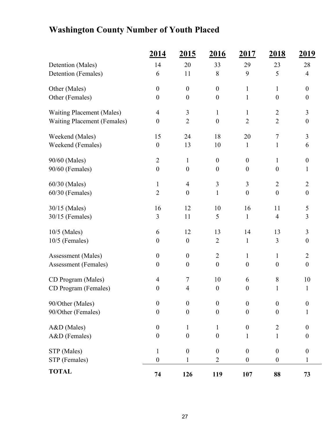## **Washington County Number of Youth Placed**

|                                    | 2014             | 2015             | 2016             | 2017             | <u>2018</u>      | <u>2019</u>      |
|------------------------------------|------------------|------------------|------------------|------------------|------------------|------------------|
| Detention (Males)                  | 14               | 20               | 33               | 29               | 23               | 28               |
| Detention (Females)                | 6                | 11               | 8                | 9                | 5                | $\overline{4}$   |
| Other (Males)                      | $\boldsymbol{0}$ | $\boldsymbol{0}$ | $\boldsymbol{0}$ | $\mathbf{1}$     | $\mathbf{1}$     | $\boldsymbol{0}$ |
| Other (Females)                    | $\boldsymbol{0}$ | $\boldsymbol{0}$ | $\boldsymbol{0}$ | $\mathbf{1}$     | $\theta$         | $\boldsymbol{0}$ |
| <b>Waiting Placement (Males)</b>   | $\overline{4}$   | $\mathfrak{Z}$   | $\mathbf{1}$     | $\mathbf{1}$     | $\overline{2}$   | 3                |
| <b>Waiting Placement (Females)</b> | $\boldsymbol{0}$ | $\overline{2}$   | $\boldsymbol{0}$ | $\overline{2}$   | $\overline{2}$   | $\boldsymbol{0}$ |
| Weekend (Males)                    | 15               | 24               | 18               | 20               | $\tau$           | 3                |
| Weekend (Females)                  | $\boldsymbol{0}$ | 13               | 10               | $\mathbf{1}$     | $\mathbf{1}$     | 6                |
| 90/60 (Males)                      | $\overline{2}$   | $\mathbf{1}$     | $\boldsymbol{0}$ | $\boldsymbol{0}$ | $\mathbf{1}$     | $\boldsymbol{0}$ |
| 90/60 (Females)                    | $\boldsymbol{0}$ | $\boldsymbol{0}$ | $\boldsymbol{0}$ | $\boldsymbol{0}$ | $\boldsymbol{0}$ | 1                |
| 60/30 (Males)                      | $\mathbf{1}$     | $\overline{4}$   | $\mathfrak{Z}$   | 3                | $\overline{2}$   | $\overline{2}$   |
| 60/30 (Females)                    | $\sqrt{2}$       | $\boldsymbol{0}$ | $\mathbf 1$      | $\boldsymbol{0}$ | $\boldsymbol{0}$ | $\boldsymbol{0}$ |
| 30/15 (Males)                      | 16               | 12               | 10               | 16               | 11               | 5                |
| 30/15 (Females)                    | 3                | 11               | 5                | $\mathbf{1}$     | $\overline{4}$   | 3                |
| 10/5 (Males)                       | 6                | 12               | 13               | 14               | 13               | $\mathfrak{Z}$   |
| 10/5 (Females)                     | $\boldsymbol{0}$ | $\boldsymbol{0}$ | $\overline{2}$   | $\mathbf{1}$     | 3                | $\boldsymbol{0}$ |
| Assessment (Males)                 | $\boldsymbol{0}$ | $\boldsymbol{0}$ | $\overline{2}$   | $\mathbf{1}$     | $\mathbf{1}$     | $\overline{2}$   |
| Assessment (Females)               | $\boldsymbol{0}$ | $\boldsymbol{0}$ | $\boldsymbol{0}$ | $\boldsymbol{0}$ | $\boldsymbol{0}$ | $\boldsymbol{0}$ |
| CD Program (Males)                 | $\overline{4}$   | $\tau$           | 10               | 6                | 8                | 10               |
| CD Program (Females)               | $\boldsymbol{0}$ | $\overline{4}$   | $\boldsymbol{0}$ | $\boldsymbol{0}$ | $\mathbf{1}$     | $\mathbf{1}$     |
| 90/Other (Males)                   | $\boldsymbol{0}$ | $\boldsymbol{0}$ | $\boldsymbol{0}$ | $\boldsymbol{0}$ | $\mathbf{0}$     | $\overline{0}$   |
| 90/Other (Females)                 | $\boldsymbol{0}$ | $\boldsymbol{0}$ | $\boldsymbol{0}$ | $\boldsymbol{0}$ | $\boldsymbol{0}$ | 1                |
| A&D (Males)                        | $\boldsymbol{0}$ | $\mathbf{1}$     | 1                | $\boldsymbol{0}$ | $\overline{2}$   | $\overline{0}$   |
| A&D (Females)                      | $\boldsymbol{0}$ | $\boldsymbol{0}$ | $\boldsymbol{0}$ | $\mathbf{1}$     | $\mathbf{1}$     | $\boldsymbol{0}$ |
| STP (Males)                        | $\mathbf{1}$     | $\boldsymbol{0}$ | $\boldsymbol{0}$ | $\boldsymbol{0}$ | $\boldsymbol{0}$ | $\boldsymbol{0}$ |
| STP (Females)                      | $\boldsymbol{0}$ | 1                | $\overline{2}$   | $\boldsymbol{0}$ | $\boldsymbol{0}$ | 1                |
| <b>TOTAL</b>                       | 74               | 126              | 119              | 107              | 88               | 73               |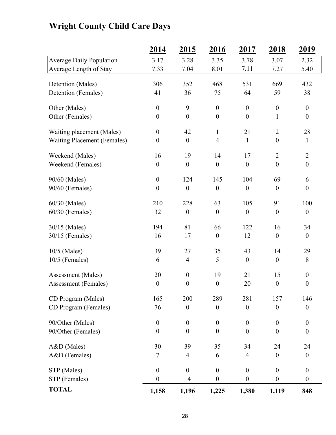## **2014 2015 2016 2017 2018 2019** Average Daily Population 3.17 3.28 3.35 3.78 3.07 2.32 Average Length of Stay 7.33 7.04 8.01 7.11 7.27 5.40 Detention (Males) 306 352 468 531 669 432 Detention (Females) 41 36 75 64 59 38 Other (Males)  $0 \t 9 \t 0 \t 0 \t 0$ Other (Females)  $0 \t 0 \t 0 \t 0 \t 1 \t 0$ Waiting placement (Males)  $0 \t 42 \t 1 \t 21 \t 2 \t 28$ Waiting Placement (Females)  $0 \t 0 \t 4 \t 1 \t 0 \t 1$ Weekend (Males) 16 19 14 17 2 2 Weekend (Females)  $0 \t 0 \t 0 \t 0 \t 0$  0 0 90/60 (Males) 0 124 145 104 69 6  $90/60$  (Females)  $0 \t 0 \t 0 \t 0 \t 0$  0 0 60/30 (Males) 210 228 63 105 91 100 60/30 (Females) 32 0 0 0 0 0 30/15 (Males) 194 81 66 122 16 34 30/15 (Females) 16 17 0 12 0 0 10/5 (Males) 39 27 35 43 14 29 10/5 (Females) 6 4 5 0 0 8 Assessment (Males) 20 0 19 21 15 0 Assessment (Females)  $0 \t 0 \t 0 \t 20 \t 0 \t 0$ CD Program (Males) 165 200 289 281 157 146 CD Program (Females) 76 00000 90/Other (Males)  $0 \t 0 \t 0 \t 0 \t 0$  0 0 90/Other (Females)  $0 \t 0 \t 0 \t 0 \t 0$  0 0 A&D (Males) 30 39 35 34 24 24

## **Wright County Child Care Days**

A&D (Females) 7 4 6 4 0 0  $STP (Males)$  0 0 0 0 0 0  $STP$  (Females)  $0 \t 14 \t 0 \t 0 \t 0$ **TOTAL 1,158 1,196 1,225 1,380 1,119 848**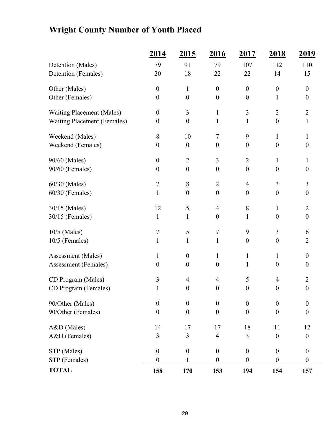## **Wright County Number of Youth Placed**

|                                    | 2014             | <u>2015</u>      | <u>2016</u>      | 2017             | <u>2018</u>      | <u>2019</u>      |
|------------------------------------|------------------|------------------|------------------|------------------|------------------|------------------|
| Detention (Males)                  | 79               | 91               | 79               | 107              | 112              | 110              |
| Detention (Females)                | 20               | 18               | 22               | 22               | 14               | 15               |
| Other (Males)                      | $\boldsymbol{0}$ | $\mathbf{1}$     | $\boldsymbol{0}$ | $\boldsymbol{0}$ | $\boldsymbol{0}$ | $\boldsymbol{0}$ |
| Other (Females)                    | $\boldsymbol{0}$ | $\boldsymbol{0}$ | $\boldsymbol{0}$ | $\boldsymbol{0}$ | 1                | $\boldsymbol{0}$ |
| <b>Waiting Placement (Males)</b>   | $\boldsymbol{0}$ | 3                | $\mathbf{1}$     | 3                | $\overline{2}$   | $\overline{2}$   |
| <b>Waiting Placement (Females)</b> | $\boldsymbol{0}$ | $\boldsymbol{0}$ | $\mathbf{1}$     | $\mathbf{1}$     | $\boldsymbol{0}$ | $\mathbf{1}$     |
| Weekend (Males)                    | $8\,$            | 10               | $\tau$           | 9                | 1                | $\mathbf{1}$     |
| Weekend (Females)                  | $\boldsymbol{0}$ | $\boldsymbol{0}$ | $\boldsymbol{0}$ | $\boldsymbol{0}$ | $\boldsymbol{0}$ | $\boldsymbol{0}$ |
| 90/60 (Males)                      | $\boldsymbol{0}$ | $\overline{2}$   | 3                | $\overline{2}$   | 1                | $\mathbf{1}$     |
| 90/60 (Females)                    | $\boldsymbol{0}$ | $\boldsymbol{0}$ | $\boldsymbol{0}$ | $\boldsymbol{0}$ | $\theta$         | $\boldsymbol{0}$ |
| 60/30 (Males)                      | $\boldsymbol{7}$ | 8                | $\overline{2}$   | $\overline{4}$   | $\overline{3}$   | 3                |
| 60/30 (Females)                    | $\mathbf{1}$     | $\boldsymbol{0}$ | $\boldsymbol{0}$ | $\boldsymbol{0}$ | $\boldsymbol{0}$ | $\boldsymbol{0}$ |
| 30/15 (Males)                      | 12               | 5                | $\overline{4}$   | $\,8\,$          | 1                | $\overline{2}$   |
| 30/15 (Females)                    | $\mathbf{1}$     | 1                | $\boldsymbol{0}$ | $\mathbf{1}$     | $\boldsymbol{0}$ | $\boldsymbol{0}$ |
| 10/5 (Males)                       | $\tau$           | 5                | $\tau$           | 9                | 3                | 6                |
| 10/5 (Females)                     | $\mathbf{1}$     | $\mathbf{1}$     | 1                | $\boldsymbol{0}$ | $\boldsymbol{0}$ | $\overline{2}$   |
| Assessment (Males)                 | 1                | $\boldsymbol{0}$ | $\mathbf{1}$     | $\mathbf{1}$     | 1                | $\boldsymbol{0}$ |
| Assessment (Females)               | $\boldsymbol{0}$ | $\boldsymbol{0}$ | $\boldsymbol{0}$ | 1                | $\theta$         | $\boldsymbol{0}$ |
| CD Program (Males)                 | 3                | $\overline{4}$   | $\overline{4}$   | 5                | $\overline{4}$   | $\overline{2}$   |
| CD Program (Females)               | 1                | $\boldsymbol{0}$ | $\boldsymbol{0}$ | $\boldsymbol{0}$ | $\boldsymbol{0}$ | $\boldsymbol{0}$ |
| 90/Other (Males)                   | $\boldsymbol{0}$ | $\boldsymbol{0}$ | $\boldsymbol{0}$ | $\boldsymbol{0}$ | $\mathbf{0}$     | $\boldsymbol{0}$ |
| 90/Other (Females)                 | $\boldsymbol{0}$ | $\overline{0}$   | $\mathbf{0}$     | $\boldsymbol{0}$ | $\boldsymbol{0}$ | $\boldsymbol{0}$ |
| A&D (Males)                        | 14               | 17               | 17               | 18               | 11               | 12               |
| A&D (Females)                      | 3                | 3                | $\overline{4}$   | 3                | $\boldsymbol{0}$ | $\boldsymbol{0}$ |
| STP (Males)                        | $\boldsymbol{0}$ | $\boldsymbol{0}$ | $\boldsymbol{0}$ | $\boldsymbol{0}$ | $\boldsymbol{0}$ | $\boldsymbol{0}$ |
| STP (Females)                      | $\boldsymbol{0}$ | 1                | $\boldsymbol{0}$ | $\boldsymbol{0}$ | $\boldsymbol{0}$ | $\boldsymbol{0}$ |
| <b>TOTAL</b>                       | 158              | 170              | 153              | 194              | 154              | 157              |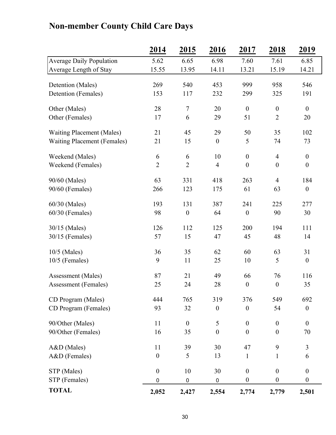|                                    | 2014             | 2015             | 2016             | 2017             | 2018             | 2019             |
|------------------------------------|------------------|------------------|------------------|------------------|------------------|------------------|
| <b>Average Daily Population</b>    | 5.62             | 6.65             | 6.98             | 7.60             | 7.61             | 6.85             |
| Average Length of Stay             | 15.55            | 13.95            | 14.11            | 13.21            | 15.19            | 14.21            |
| Detention (Males)                  | 269              | 540              | 453              | 999              | 958              | 546              |
| Detention (Females)                | 153              | 117              | 232              | 299              | 325              | 191              |
|                                    |                  |                  |                  |                  |                  |                  |
| Other (Males)                      | 28               | $\boldsymbol{7}$ | 20               | $\boldsymbol{0}$ | $\boldsymbol{0}$ | $\overline{0}$   |
| Other (Females)                    | 17               | 6                | 29               | 51               | $\overline{2}$   | 20               |
| <b>Waiting Placement (Males)</b>   | 21               | 45               | 29               | 50               | 35               | 102              |
| <b>Waiting Placement (Females)</b> | 21               | 15               | $\boldsymbol{0}$ | 5                | 74               | 73               |
|                                    |                  |                  |                  |                  |                  |                  |
| Weekend (Males)                    | 6                | 6                | 10               | $\boldsymbol{0}$ | $\overline{4}$   | $\boldsymbol{0}$ |
| Weekend (Females)                  | $\overline{2}$   | $\overline{2}$   | $\overline{4}$   | $\boldsymbol{0}$ | $\boldsymbol{0}$ | $\boldsymbol{0}$ |
| 90/60 (Males)                      | 63               | 331              | 418              | 263              | $\overline{4}$   | 184              |
| 90/60 (Females)                    | 266              | 123              | 175              | 61               | 63               | $\boldsymbol{0}$ |
|                                    |                  |                  |                  |                  |                  |                  |
| 60/30 (Males)                      | 193              | 131              | 387              | 241              | 225              | 277              |
| $60/30$ (Females)                  | 98               | $\boldsymbol{0}$ | 64               | $\boldsymbol{0}$ | 90               | 30               |
| 30/15 (Males)                      | 126              | 112              | 125              | 200              | 194              | 111              |
| $30/15$ (Females)                  | 57               | 15               | 47               | 45               | 48               | 14               |
|                                    |                  |                  |                  |                  |                  |                  |
| 10/5 (Males)                       | 36               | 35               | 62               | 60               | 63               | 31               |
| $10/5$ (Females)                   | 9                | 11               | 25               | 10               | 5                | $\boldsymbol{0}$ |
| Assessment (Males)                 | 87               | 21               | 49               | 66               | 76               | 116              |
| Assessment (Females)               | 25               | 24               | 28               | $\boldsymbol{0}$ | $\boldsymbol{0}$ | 35               |
|                                    |                  |                  |                  |                  |                  |                  |
| CD Program (Males)                 | 444              | 765              | 319              | 376              | 549              | 692              |
| CD Program (Females)               | 93               | 32               | $\boldsymbol{0}$ | $\boldsymbol{0}$ | 54               | $\boldsymbol{0}$ |
| 90/Other (Males)                   | 11               | $\boldsymbol{0}$ | 5                | $\boldsymbol{0}$ | $\boldsymbol{0}$ | $\boldsymbol{0}$ |
| 90/Other (Females)                 | 16               | 35               | $\boldsymbol{0}$ | $\boldsymbol{0}$ | $\boldsymbol{0}$ | 70               |
|                                    |                  |                  |                  |                  |                  |                  |
| A&D (Males)                        | 11               | 39               | 30               | 47               | 9                | 3                |
| A&D (Females)                      | $\boldsymbol{0}$ | 5                | 13               | $\mathbf{1}$     | $\mathbf{1}$     | 6                |
| STP (Males)                        | $\boldsymbol{0}$ | 10               | 30               | $\boldsymbol{0}$ | $\boldsymbol{0}$ | $\boldsymbol{0}$ |
| STP (Females)                      | 0                | $\pmb{0}$        | $\pmb{0}$        | $\boldsymbol{0}$ | $\boldsymbol{0}$ | $\boldsymbol{0}$ |
| <b>TOTAL</b>                       | 2,052            | 2,427            | 2,554            | 2,774            | 2,779            | 2,501            |

## **Non-member County Child Care Days**